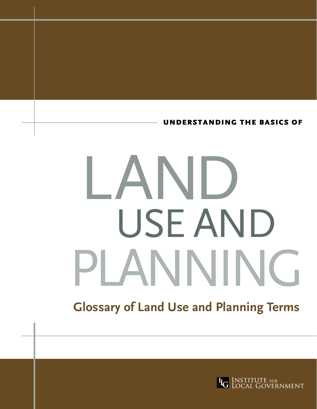Understanding the Basics of

# USE AND LAND PLANNING

**Glossary of Land Use and Planning Terms**

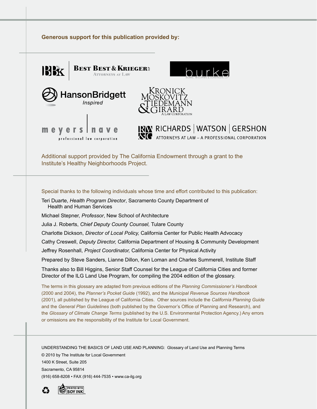#### **Generous support for this publication provided by:**



Additional support provided by The California Endowment through a grant to the Institute's Healthy Neighborhoods Project.

Special thanks to the following individuals whose time and effort contributed to this publication:

Teri Duarte, *Health Program Director*, Sacramento County Department of Health and Human Services

Michael Stepner, *Professor*, New School of Architecture

Julia J. Roberts, *Chief Deputy County Counsel,* Tulare County

Charlotte Dickson, *Director of Local Policy,* California Center for Public Health Advocacy

Cathy Creswell, *Deputy Director,* California Department of Housing & Community Development

Jeffrey Rosenhall, *Project Coordinator,* California Center for Physical Activity

Prepared by Steve Sanders, Lianne Dillon, Ken Loman and Charles Summerell, Institute Staff

Thanks also to Bill Higgins, Senior Staff Counsel for the League of California Cities and former Director of the ILG Land Use Program, for compiling the 2004 edition of the glossary.

The terms in this glossary are adapted from previous editions of the *Planning Commissioner's Handbook* (2000 and 2004), the *Planner's Pocket Guide* (1992), and the *Municipal Revenue Sources Handbook* (2001), all published by the League of California Cities. Other sources include the *California Planning Guide* and the *General Plan Guidelines* (both published by the Governor's Office of Planning and Research), and the *Glossary of Climate Change Terms* (published by the U.S. Environmental Protection Agency.) Any errors or omissions are the responsibility of the Institute for Local Government.

Understanding the Basics of LAND USE AND PLANNING: Glossary of Land Use and Planning Terms © 2010 by The Institute for Local Government 1400 K Street, Suite 205 Sacramento, CA 95814 (916) 658-8208 • FAX (916) 444-7535 • www.ca-ilg.org

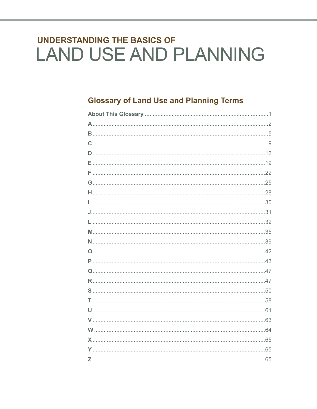## **UNDERSTANDING THE BASICS OF LAND USE AND PLANNING**

#### **Glossary of Land Use and Planning Terms**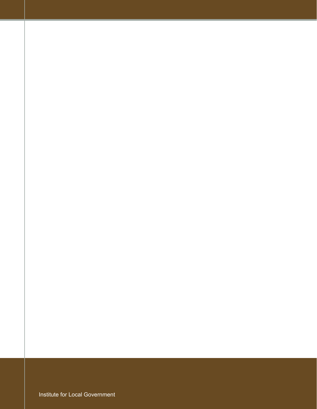Institute for Local Government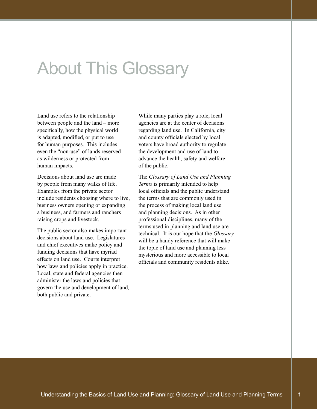## About This Glossary

Land use refers to the relationship between people and the land – more specifically, how the physical world is adapted, modified, or put to use for human purposes. This includes even the "non-use" of lands reserved as wilderness or protected from human impacts.

Decisions about land use are made by people from many walks of life. Examples from the private sector include residents choosing where to live, business owners opening or expanding a business, and farmers and ranchers raising crops and livestock.

The public sector also makes important decisions about land use. Legislatures and chief executives make policy and funding decisions that have myriad effects on land use. Courts interpret how laws and policies apply in practice. Local, state and federal agencies then administer the laws and policies that govern the use and development of land, both public and private.

While many parties play a role, local agencies are at the center of decisions regarding land use. In California, city and county officials elected by local voters have broad authority to regulate the development and use of land to advance the health, safety and welfare of the public.

The *Glossary of Land Use and Planning Terms* is primarily intended to help local officials and the public understand the terms that are commonly used in the process of making local land use and planning decisions. As in other professional disciplines, many of the terms used in planning and land use are technical. It is our hope that the *Glossary* will be a handy reference that will make the topic of land use and planning less mysterious and more accessible to local officials and community residents alike.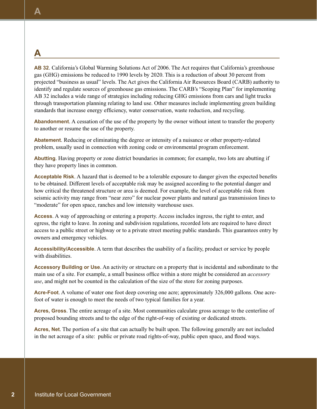### **A**

**AB 32**. California's Global Warming Solutions Act of 2006. The Act requires that California's greenhouse gas (GHG) emissions be reduced to 1990 levels by 2020. This is a reduction of about 30 percent from projected "business as usual" levels. The Act gives the California Air Resources Board (CARB) authority to identify and regulate sources of greenhouse gas emissions. The CARB's "Scoping Plan" for implementing AB 32 includes a wide range of strategies including reducing GHG emissions from cars and light trucks through transportation planning relating to land use. Other measures include implementing green building standards that increase energy efficiency, water conservation, waste reduction, and recycling.

**Abandonment**. A cessation of the use of the property by the owner without intent to transfer the property to another or resume the use of the property.

**Abatement**. Reducing or eliminating the degree or intensity of a nuisance or other property-related problem, usually used in connection with zoning code or environmental program enforcement.

**Abutting**. Having property or zone district boundaries in common; for example, two lots are abutting if they have property lines in common.

**Acceptable Risk**. A hazard that is deemed to be a tolerable exposure to danger given the expected benefits to be obtained. Different levels of acceptable risk may be assigned according to the potential danger and how critical the threatened structure or area is deemed. For example, the level of acceptable risk from seismic activity may range from "near zero" for nuclear power plants and natural gas transmission lines to "moderate" for open space, ranches and low intensity warehouse uses.

**Access**. A way of approaching or entering a property. Access includes ingress, the right to enter, and egress, the right to leave. In zoning and subdivision regulations, recorded lots are required to have direct access to a public street or highway or to a private street meeting public standards. This guarantees entry by owners and emergency vehicles.

**Accessibility/Accessible**. A term that describes the usability of a facility, product or service by people with disabilities.

**Accessory Building or Use**. An activity or structure on a property that is incidental and subordinate to the main use of a site. For example, a small business office within a store might be considered an *accessory use*, and might not be counted in the calculation of the size of the store for zoning purposes.

**Acre-Foot**. A volume of water one foot deep covering one acre; approximately 326,000 gallons. One acrefoot of water is enough to meet the needs of two typical families for a year.

**Acres, Gross**. The entire acreage of a site. Most communities calculate gross acreage to the centerline of proposed bounding streets and to the edge of the right-of-way of existing or dedicated streets.

**Acres, Net**. The portion of a site that can actually be built upon. The following generally are not included in the net acreage of a site: public or private road rights-of-way, public open space, and flood ways.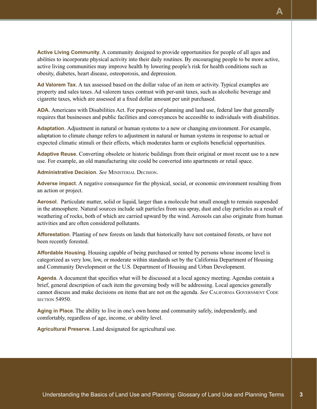**Active Living Community**. A community designed to provide opportunities for people of all ages and abilities to incorporate physical activity into their daily routines. By encouraging people to be more active, active living communities may improve health by lowering people's risk for health conditions such as obesity, diabetes, heart disease, osteoporosis, and depression.

**Ad Valorem Tax**. A tax assessed based on the dollar value of an item or activity. Typical examples are property and sales taxes. Ad valorem taxes contrast with per-unit taxes, such as alcoholic beverage and cigarette taxes, which are assessed at a fixed dollar amount per unit purchased.

**ADA.** Americans with Disabilities Act. For purposes of planning and land use, federal law that generally requires that businesses and public facilities and conveyances be accessible to individuals with disabilities.

**Adaptation**. Adjustment in natural or human systems to a new or changing environment. For example, adaptation to climate change refers to adjustment in natural or human systems in response to actual or expected climatic stimuli or their effects, which moderates harm or exploits beneficial opportunities.

**Adaptive Reuse**. Converting obsolete or historic buildings from their original or most recent use to a new use. For example, an old manufacturing site could be converted into apartments or retail space.

**Administrative Decision**. *See* Ministerial Decision.

**Adverse impact**. A negative consequence for the physical, social, or economic environment resulting from an action or project.

**Aerosol**. Particulate matter, solid or liquid, larger than a molecule but small enough to remain suspended in the atmosphere. Natural sources include salt particles from sea spray, dust and clay particles as a result of weathering of rocks, both of which are carried upward by the wind. Aerosols can also originate from human activities and are often considered pollutants.

**Afforestation**. Planting of new forests on lands that historically have not contained forests, or have not been recently forested.

**Affordable Housing**. Housing capable of being purchased or rented by persons whose income level is categorized as very low, low, or moderate within standards set by the California Department of Housing and Community Development or the U.S. Department of Housing and Urban Development.

**Agenda**. A document that specifies what will be discussed at a local agency meeting. Agendas contain a brief, general description of each item the governing body will be addressing. Local agencies generally cannot discuss and make decisions on items that are not on the agenda. *See* CALIFORNIA GOVERNMENT CODE section 54950.

**Aging in Place**. The ability to live in one's own home and community safely, independently, and comfortably, regardless of age, income, or ability level.

**Agricultural Preserve**. Land designated for agricultural use.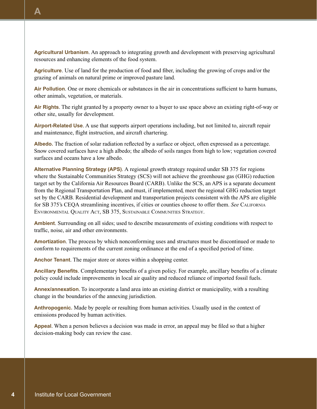**Agricultural Urbanism**. An approach to integrating growth and development with preserving agricultural resources and enhancing elements of the food system.

**Agriculture**. Use of land for the production of food and fiber, including the growing of crops and/or the grazing of animals on natural prime or improved pasture land.

**Air Pollution**. One or more chemicals or substances in the air in concentrations sufficient to harm humans, other animals, vegetation, or materials.

**Air Rights**. The right granted by a property owner to a buyer to use space above an existing right-of-way or other site, usually for development.

**Airport-Related Use**. A use that supports airport operations including, but not limited to, aircraft repair and maintenance, flight instruction, and aircraft chartering.

**Albedo.** The fraction of solar radiation reflected by a surface or object, often expressed as a percentage. Snow covered surfaces have a high albedo; the albedo of soils ranges from high to low; vegetation covered surfaces and oceans have a low albedo.

**Alternative Planning Strategy (APS)**. A regional growth strategy required under SB 375 for regions where the Sustainable Communities Strategy (SCS) will not achieve the greenhouse gas (GHG) reduction target set by the California Air Resources Board (CARB). Unlike the SCS, an APS is a separate document from the Regional Transportation Plan, and must, if implemented, meet the regional GHG reduction target set by the CARB. Residential development and transportation projects consistent with the APS are eligible for SB 375's CEQA streamlining incentives, if cities or counties choose to offer them. *See* California Environmental Quality Act, SB 375, Sustainable Communities Strategy.

**Ambient**. Surrounding on all sides; used to describe measurements of existing conditions with respect to traffic, noise, air and other environments.

**Amortization**. The process by which nonconforming uses and structures must be discontinued or made to conform to requirements of the current zoning ordinance at the end of a specified period of time.

**Anchor Tenant**. The major store or stores within a shopping center.

**Ancillary Benefits**. Complementary benefits of a given policy. For example, ancillary benefits of a climate policy could include improvements in local air quality and reduced reliance of imported fossil fuels.

**Annex/annexation**. To incorporate a land area into an existing district or municipality, with a resulting change in the boundaries of the annexing jurisdiction.

**Anthropogenic.** Made by people or resulting from human activities. Usually used in the context of emissions produced by human activities.

**Appeal**. When a person believes a decision was made in error, an appeal may be filed so that a higher decision-making body can review the case.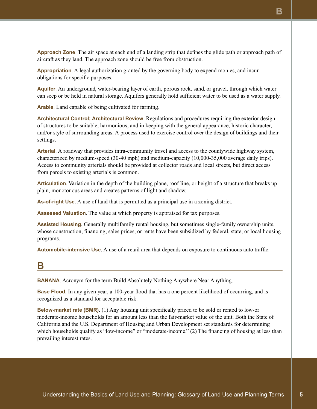**Approach Zone**. The air space at each end of a landing strip that defines the glide path or approach path of aircraft as they land. The approach zone should be free from obstruction.

**Appropriation**. A legal authorization granted by the governing body to expend monies, and incur obligations for specific purposes.

**Aquifer**. An underground, water-bearing layer of earth, porous rock, sand, or gravel, through which water can seep or be held in natural storage. Aquifers generally hold sufficient water to be used as a water supply.

**Arable**. Land capable of being cultivated for farming.

**Architectural Control; Architectural Review**. Regulations and procedures requiring the exterior design of structures to be suitable, harmonious, and in keeping with the general appearance, historic character, and/or style of surrounding areas. A process used to exercise control over the design of buildings and their settings.

**Arterial**. A roadway that provides intra-community travel and access to the countywide highway system, characterized by medium-speed (30-40 mph) and medium-capacity (10,000-35,000 average daily trips). Access to community arterials should be provided at collector roads and local streets, but direct access from parcels to existing arterials is common.

**Articulation**. Variation in the depth of the building plane, roof line, or height of a structure that breaks up plain, monotonous areas and creates patterns of light and shadow.

**As-of-right Use**. A use of land that is permitted as a principal use in a zoning district.

**Assessed Valuation**. The value at which property is appraised for tax purposes.

**Assisted Housing**. Generally multifamily rental housing, but sometimes single-family ownership units, whose construction, financing, sales prices, or rents have been subsidized by federal, state, or local housing programs.

**Automobile-intensive Use**. A use of a retail area that depends on exposure to continuous auto traffic.

#### **B**

**BANANA**. Acronym for the term Build Absolutely Nothing Anywhere Near Anything.

**Base Flood**. In any given year, a 100-year flood that has a one percent likelihood of occurring, and is recognized as a standard for acceptable risk.

**Below-market rate (BMR)**. (1) Any housing unit specifically priced to be sold or rented to low-or moderate-income households for an amount less than the fair-market value of the unit. Both the State of California and the U.S. Department of Housing and Urban Development set standards for determining which households qualify as "low-income" or "moderate-income." (2) The financing of housing at less than prevailing interest rates.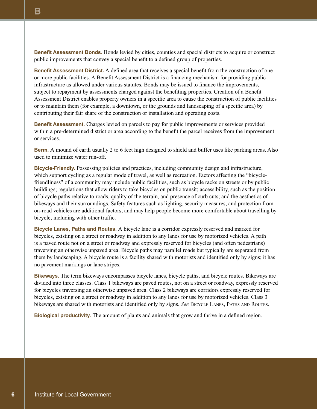**Benefit Assessment Bonds.** Bonds levied by cities, counties and special districts to acquire or construct public improvements that convey a special benefit to a defined group of properties.

**Benefit Assessment District.** A defined area that receives a special benefit from the construction of one or more public facilities. A Benefit Assessment District is a financing mechanism for providing public infrastructure as allowed under various statutes. Bonds may be issued to finance the improvements, subject to repayment by assessments charged against the benefiting properties. Creation of a Benefit Assessment District enables property owners in a specific area to cause the construction of public facilities or to maintain them (for example, a downtown, or the grounds and landscaping of a specific area) by contributing their fair share of the construction or installation and operating costs.

**Benefit Assessment.** Charges levied on parcels to pay for public improvements or services provided within a pre-determined district or area according to the benefit the parcel receives from the improvement or services.

**Berm.** A mound of earth usually 2 to 6 feet high designed to shield and buffer uses like parking areas. Also used to minimize water run-off.

**Bicycle-Friendly.** Possessing policies and practices, including community design and infrastructure, which support cycling as a regular mode of travel, as well as recreation. Factors affecting the "bicyclefriendliness" of a community may include public facilities, such as bicycle racks on streets or by public buildings; regulations that allow riders to take bicycles on public transit; accessibility, such as the position of bicycle paths relative to roads, quality of the terrain, and presence of curb cuts; and the aesthetics of bikeways and their surroundings. Safety features such as lighting, security measures, and protection from on-road vehicles are additional factors, and may help people become more comfortable about travelling by bicycle, including with other traffic.

**Bicycle Lanes, Paths and Routes.** A bicycle lane is a corridor expressly reserved and marked for bicycles, existing on a street or roadway in addition to any lanes for use by motorized vehicles. A path is a paved route not on a street or roadway and expressly reserved for bicycles (and often pedestrians) traversing an otherwise unpaved area. Bicycle paths may parallel roads but typically are separated from them by landscaping. A bicycle route is a facility shared with motorists and identified only by signs; it has no pavement markings or lane stripes.

**Bikeways.** The term bikeways encompasses bicycle lanes, bicycle paths, and bicycle routes. Bikeways are divided into three classes. Class 1 bikeways are paved routes, not on a street or roadway, expressly reserved for bicycles traversing an otherwise unpaved area. Class 2 bikeways are corridors expressly reserved for bicycles, existing on a street or roadway in addition to any lanes for use by motorized vehicles. Class 3 bikeways are shared with motorists and identified only by signs. *See* BICYCLE LANES, PATHS AND ROUTES.

**Biological productivity.** The amount of plants and animals that grow and thrive in a defined region.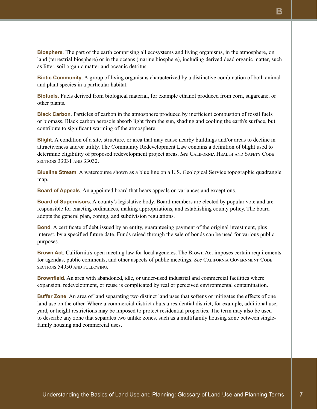**Biosphere**. The part of the earth comprising all ecosystems and living organisms, in the atmosphere, on land (terrestrial biosphere) or in the oceans (marine biosphere), including derived dead organic matter, such as litter, soil organic matter and oceanic detritus.

**Biotic Community**. A group of living organisms characterized by a distinctive combination of both animal and plant species in a particular habitat.

**Biofuels.** Fuels derived from biological material, for example ethanol produced from corn, sugarcane, or other plants.

**Black Carbon**. Particles of carbon in the atmosphere produced by inefficient combustion of fossil fuels or biomass. Black carbon aerosols absorb light from the sun, shading and cooling the earth's surface, but contribute to significant warming of the atmosphere.

**Blight**. A condition of a site, structure, or area that may cause nearby buildings and/or areas to decline in attractiveness and/or utility. The Community Redevelopment Law contains a definition of blight used to determine eligibility of proposed redevelopment project areas. *See* California Health and Safety Code sections 33031 and 33032.

**Blueline Stream**. A watercourse shown as a blue line on a U.S. Geological Service topographic quadrangle map.

**Board of Appeals**. An appointed board that hears appeals on variances and exceptions.

**Board of Supervisors**. A county's legislative body. Board members are elected by popular vote and are responsible for enacting ordinances, making appropriations, and establishing county policy. The board adopts the general plan, zoning, and subdivision regulations.

**Bond**. A certificate of debt issued by an entity, guaranteeing payment of the original investment, plus interest, by a specified future date. Funds raised through the sale of bonds can be used for various public purposes.

**Brown Act**. California's open meeting law for local agencies. The Brown Act imposes certain requirements for agendas, public comments, and other aspects of public meetings. *See* CALIFORNIA GOVERNMENT CODE sections 54950 and following.

**Brownfield**. An area with abandoned, idle, or under-used industrial and commercial facilities where expansion, redevelopment, or reuse is complicated by real or perceived environmental contamination.

**Buffer Zone**. An area of land separating two distinct land uses that softens or mitigates the effects of one land use on the other. Where a commercial district abuts a residential district, for example, additional use, yard, or height restrictions may be imposed to protect residential properties. The term may also be used to describe any zone that separates two unlike zones, such as a multifamily housing zone between singlefamily housing and commercial uses.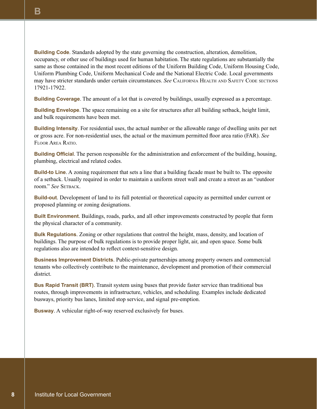**Building Code**. Standards adopted by the state governing the construction, alteration, demolition, occupancy, or other use of buildings used for human habitation. The state regulations are substantially the same as those contained in the most recent editions of the Uniform Building Code, Uniform Housing Code, Uniform Plumbing Code, Uniform Mechanical Code and the National Electric Code. Local governments may have stricter standards under certain circumstances. *See* California Health and Safety Code sections 17921-17922.

**Building Coverage**. The amount of a lot that is covered by buildings, usually expressed as a percentage.

**Building Envelope**. The space remaining on a site for structures after all building setback, height limit, and bulk requirements have been met.

**Building Intensity**. For residential uses, the actual number or the allowable range of dwelling units per net or gross acre. For non-residential uses, the actual or the maximum permitted floor area ratio (FAR). *See* Floor Area Ratio.

**Building Official**. The person responsible for the administration and enforcement of the building, housing, plumbing, electrical and related codes.

**Build-to Line**. A zoning requirement that sets a line that a building facade must be built to. The opposite of a setback. Usually required in order to maintain a uniform street wall and create a street as an "outdoor room." See SETBACK.

**Build-out**. Development of land to its full potential or theoretical capacity as permitted under current or proposed planning or zoning designations.

**Built Environment**. Buildings, roads, parks, and all other improvements constructed by people that form the physical character of a community.

**Bulk Regulations**. Zoning or other regulations that control the height, mass, density, and location of buildings. The purpose of bulk regulations is to provide proper light, air, and open space. Some bulk regulations also are intended to reflect context-sensitive design.

**Business Improvement Districts**. Public-private partnerships among property owners and commercial tenants who collectively contribute to the maintenance, development and promotion of their commercial district.

**Bus Rapid Transit (BRT)**. Transit system using buses that provide faster service than traditional bus routes, through improvements in infrastructure, vehicles, and scheduling. Examples include dedicated busways, priority bus lanes, limited stop service, and signal pre-emption.

**Busway**. A vehicular right-of-way reserved exclusively for buses.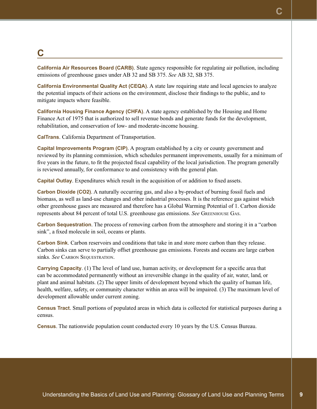#### **C**

**California Air Resources Board (CARB)**. State agency responsible for regulating air pollution, including emissions of greenhouse gases under AB 32 and SB 375. *See* AB 32, SB 375.

**California Environmental Quality Act (CEQA)**. A state law requiring state and local agencies to analyze the potential impacts of their actions on the environment, disclose their findings to the public, and to mitigate impacts where feasible.

**California Housing Finance Agency (CHFA)**. A state agency established by the Housing and Home Finance Act of 1975 that is authorized to sell revenue bonds and generate funds for the development, rehabilitation, and conservation of low- and moderate-income housing.

**CalTrans**. California Department of Transportation.

**Capital Improvements Program (CIP)**. A program established by a city or county government and reviewed by its planning commission, which schedules permanent improvements, usually for a minimum of five years in the future, to fit the projected fiscal capability of the local jurisdiction. The program generally is reviewed annually, for conformance to and consistency with the general plan.

**Capital Outlay**. Expenditures which result in the acquisition of or addition to fixed assets.

**Carbon Dioxide (CO2)**. A naturally occurring gas, and also a by-product of burning fossil fuels and biomass, as well as land-use changes and other industrial processes. It is the reference gas against which other greenhouse gases are measured and therefore has a Global Warming Potential of 1. Carbon dioxide represents about 84 percent of total U.S. greenhouse gas emissions. *See* Greenhouse Gas.

**Carbon Sequestration**. The process of removing carbon from the atmosphere and storing it in a "carbon sink", a fixed molecule in soil, oceans or plants.

**Carbon Sink**. Carbon reservoirs and conditions that take in and store more carbon than they release. Carbon sinks can serve to partially offset greenhouse gas emissions. Forests and oceans are large carbon sinks. *See* CARBON SEQUESTRATION.

**Carrying Capacity**. (1) The level of land use, human activity, or development for a specific area that can be accommodated permanently without an irreversible change in the quality of air, water, land, or plant and animal habitats. (2) The upper limits of development beyond which the quality of human life, health, welfare, safety, or community character within an area will be impaired. (3) The maximum level of development allowable under current zoning.

**Census Tract**. Small portions of populated areas in which data is collected for statistical purposes during a census.

**Census**. The nationwide population count conducted every 10 years by the U.S. Census Bureau.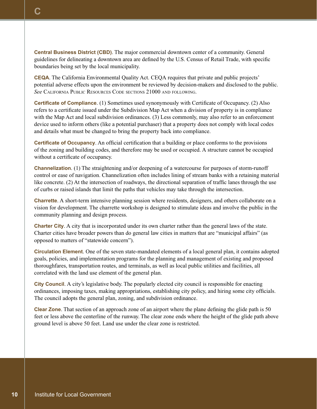**Central Business District (CBD)**. The major commercial downtown center of a community. General guidelines for delineating a downtown area are defined by the U.S. Census of Retail Trade, with specific boundaries being set by the local municipality.

**CEQA**. The California Environmental Quality Act. CEQA requires that private and public projects' potential adverse effects upon the environment be reviewed by decision-makers and disclosed to the public. *See* California Public Resources Code sections 21000 and following.

**Certificate of Compliance**. (1) Sometimes used synonymously with Certificate of Occupancy. (2) Also refers to a certificate issued under the Subdivision Map Act when a division of property is in compliance with the Map Act and local subdivision ordinances. (3) Less commonly, may also refer to an enforcement device used to inform others (like a potential purchaser) that a property does not comply with local codes and details what must be changed to bring the property back into compliance.

**Certificate of Occupancy**. An official certification that a building or place conforms to the provisions of the zoning and building codes, and therefore may be used or occupied. A structure cannot be occupied without a certificate of occupancy.

**Channelization**. (1) The straightening and/or deepening of a watercourse for purposes of storm-runoff control or ease of navigation. Channelization often includes lining of stream banks with a retaining material like concrete. (2) At the intersection of roadways, the directional separation of traffic lanes through the use of curbs or raised islands that limit the paths that vehicles may take through the intersection.

**Charrette**. A short-term intensive planning session where residents, designers, and others collaborate on a vision for development. The charrette workshop is designed to stimulate ideas and involve the public in the community planning and design process.

**Charter City**. A city that is incorporated under its own charter rather than the general laws of the state. Charter cities have broader powers than do general law cities in matters that are "municipal affairs" (as opposed to matters of "statewide concern").

**Circulation Element**. One of the seven state-mandated elements of a local general plan, it contains adopted goals, policies, and implementation programs for the planning and management of existing and proposed thoroughfares, transportation routes, and terminals, as well as local public utilities and facilities, all correlated with the land use element of the general plan.

**City Council**. A city's legislative body. The popularly elected city council is responsible for enacting ordinances, imposing taxes, making appropriations, establishing city policy, and hiring some city officials. The council adopts the general plan, zoning, and subdivision ordinance.

**Clear Zone**. That section of an approach zone of an airport where the plane defining the glide path is 50 feet or less above the centerline of the runway. The clear zone ends where the height of the glide path above ground level is above 50 feet. Land use under the clear zone is restricted.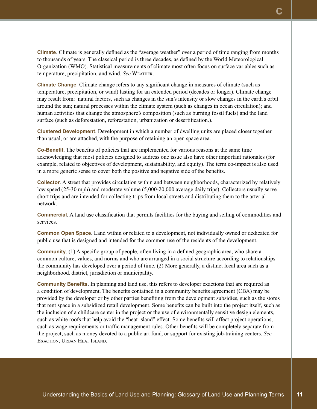**Climate**. Climate is generally defined as the "average weather" over a period of time ranging from months to thousands of years. The classical period is three decades, as defined by the World Meteorological Organization (WMO). Statistical measurements of climate most often focus on surface variables such as temperature, precipitation, and wind. *See* Weather.

**Climate Change**. Climate change refers to any significant change in measures of climate (such as temperature, precipitation, or wind) lasting for an extended period (decades or longer). Climate change may result from: natural factors, such as changes in the sun's intensity or slow changes in the earth's orbit around the sun; natural processes within the climate system (such as changes in ocean circulation); and human activities that change the atmosphere's composition (such as burning fossil fuels) and the land surface (such as deforestation, reforestation, urbanization or desertification.).

**Clustered Development**. Development in which a number of dwelling units are placed closer together than usual, or are attached, with the purpose of retaining an open space area.

**Co-Benefit**. The benefits of policies that are implemented for various reasons at the same time acknowledging that most policies designed to address one issue also have other important rationales (for example, related to objectives of development, sustainability, and equity). The term co-impact is also used in a more generic sense to cover both the positive and negative side of the benefits.

**Collector**. A street that provides circulation within and between neighborhoods, characterized by relatively low speed (25-30 mph) and moderate volume (5,000-20,000 average daily trips). Collectors usually serve short trips and are intended for collecting trips from local streets and distributing them to the arterial network.

**Commercial**. A land use classification that permits facilities for the buying and selling of commodities and services.

**Common Open Space**. Land within or related to a development, not individually owned or dedicated for public use that is designed and intended for the common use of the residents of the development.

**Community**. (1) A specific group of people, often living in a defined geographic area, who share a common culture, values, and norms and who are arranged in a social structure according to relationships the community has developed over a period of time. (2) More generally, a distinct local area such as a neighborhood, district, jurisdiction or municipality.

**Community Benefits**. In planning and land use, this refers to developer exactions that are required as a condition of development. The benefits contained in a community benefits agreement (CBA) may be provided by the developer or by other parties benefiting from the development subsidies, such as the stores that rent space in a subsidized retail development. Some benefits can be built into the project itself, such as the inclusion of a childcare center in the project or the use of environmentally sensitive design elements, such as white roofs that help avoid the "heat island" effect. Some benefits will affect project operations, such as wage requirements or traffic management rules. Other benefits will be completely separate from the project, such as money devoted to a public art fund, or support for existing job-training centers. *See* Exaction, Urban Heat Island.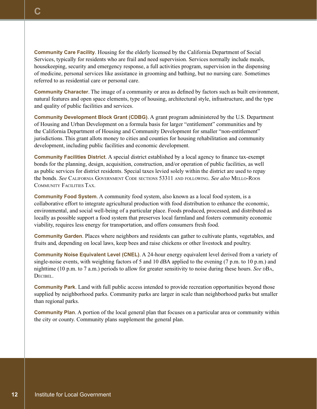**Community Care Facility**. Housing for the elderly licensed by the California Department of Social Services, typically for residents who are frail and need supervision. Services normally include meals, housekeeping, security and emergency response, a full activities program, supervision in the dispensing of medicine, personal services like assistance in grooming and bathing, but no nursing care. Sometimes referred to as residential care or personal care.

**Community Character**. The image of a community or area as defined by factors such as built environment, natural features and open space elements, type of housing, architectural style, infrastructure, and the type and quality of public facilities and services.

**Community Development Block Grant (CDBG)**. A grant program administered by the U.S. Department of Housing and Urban Development on a formula basis for larger "entitlement" communities and by the California Department of Housing and Community Development for smaller "non-entitlement" jurisdictions. This grant allots money to cities and counties for housing rehabilitation and community development, including public facilities and economic development.

**Community Facilities District**. A special district established by a local agency to finance tax-exempt bonds for the planning, design, acquisition, construction, and/or operation of public facilities, as well as public services for district residents. Special taxes levied solely within the district are used to repay the bonds. *See* California Government Code sections 53311 and following. *See also* Mello-Roos Community Facilities Tax.

**Community Food System**. A community food system, also known as a local food system, is a collaborative effort to integrate agricultural production with food distribution to enhance the economic, environmental, and social well-being of a particular place. Foods produced, processed, and distributed as locally as possible support a food system that preserves local farmland and fosters community economic viability, requires less energy for transportation, and offers consumers fresh food.

**Community Garden**. Places where neighbors and residents can gather to cultivate plants, vegetables, and fruits and, depending on local laws, keep bees and raise chickens or other livestock and poultry.

**Community Noise Equivalent Level (CNEL)**. A 24-hour energy equivalent level derived from a variety of single-noise events, with weighting factors of 5 and 10 dBA applied to the evening (7 p.m. to 10 p.m.) and nighttime (10 p.m. to 7 a.m.) periods to allow for greater sensitivity to noise during these hours. *See* pB<sub>A</sub>, DECIBEL.

**Community Park**. Land with full public access intended to provide recreation opportunities beyond those supplied by neighborhood parks. Community parks are larger in scale than neighborhood parks but smaller than regional parks.

**Community Plan**. A portion of the local general plan that focuses on a particular area or community within the city or county. Community plans supplement the general plan.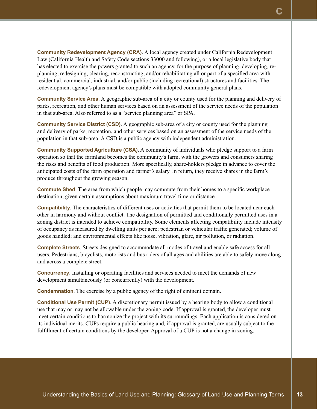**Community Redevelopment Agency (CRA)**. A local agency created under California Redevelopment Law (California Health and Safety Code sections 33000 and following), or a local legislative body that has elected to exercise the powers granted to such an agency, for the purpose of planning, developing, replanning, redesigning, clearing, reconstructing, and/or rehabilitating all or part of a specified area with residential, commercial, industrial, and/or public (including recreational) structures and facilities. The redevelopment agency's plans must be compatible with adopted community general plans.

**Community Service Area**. A geographic sub-area of a city or county used for the planning and delivery of parks, recreation, and other human services based on an assessment of the service needs of the population in that sub-area. Also referred to as a "service planning area" or SPA.

**Community Service District (CSD)**. A geographic sub-area of a city or county used for the planning and delivery of parks, recreation, and other services based on an assessment of the service needs of the population in that sub-area. A CSD is a public agency with independent administration.

**Community Supported Agriculture (CSA)**. A community of individuals who pledge support to a farm operation so that the farmland becomes the community's farm, with the growers and consumers sharing the risks and benefits of food production. More specifically, share-holders pledge in advance to cover the anticipated costs of the farm operation and farmer's salary. In return, they receive shares in the farm's produce throughout the growing season.

**Commute Shed**. The area from which people may commute from their homes to a specific workplace destination, given certain assumptions about maximum travel time or distance.

**Compatibility**. The characteristics of different uses or activities that permit them to be located near each other in harmony and without conflict. The designation of permitted and conditionally permitted uses in a zoning district is intended to achieve compatibility. Some elements affecting compatibility include intensity of occupancy as measured by dwelling units per acre; pedestrian or vehicular traffic generated; volume of goods handled; and environmental effects like noise, vibration, glare, air pollution, or radiation.

**Complete Streets**. Streets designed to accommodate all modes of travel and enable safe access for all users. Pedestrians, bicyclists, motorists and bus riders of all ages and abilities are able to safely move along and across a complete street.

**Concurrency**. Installing or operating facilities and services needed to meet the demands of new development simultaneously (or concurrently) with the development.

**Condemnation**. The exercise by a public agency of the right of eminent domain.

**Conditional Use Permit (CUP)**. A discretionary permit issued by a hearing body to allow a conditional use that may or may not be allowable under the zoning code. If approval is granted, the developer must meet certain conditions to harmonize the project with its surroundings. Each application is considered on its individual merits. CUPs require a public hearing and, if approval is granted, are usually subject to the fulfillment of certain conditions by the developer. Approval of a CUP is not a change in zoning.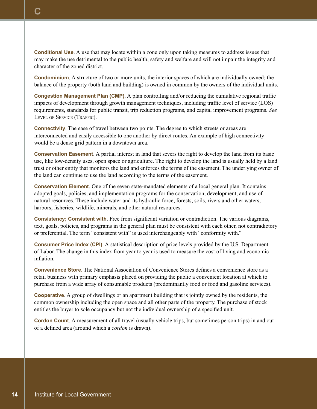**C**

**Conditional Use**. A use that may locate within a zone only upon taking measures to address issues that may make the use detrimental to the public health, safety and welfare and will not impair the integrity and character of the zoned district.

**Condominium**. A structure of two or more units, the interior spaces of which are individually owned; the balance of the property (both land and building) is owned in common by the owners of the individual units.

**Congestion Management Plan (CMP)**. A plan controlling and/or reducing the cumulative regional traffic impacts of development through growth management techniques, including traffic level of service (LOS) requirements, standards for public transit, trip reduction programs, and capital improvement programs. *See* LEVEL OF SERVICE (TRAFFIC).

**Connectivity**. The ease of travel between two points. The degree to which streets or areas are interconnected and easily accessible to one another by direct routes. An example of high connectivity would be a dense grid pattern in a downtown area.

**Conservation Easement**. A partial interest in land that severs the right to develop the land from its basic use, like low-density uses, open space or agriculture. The right to develop the land is usually held by a land trust or other entity that monitors the land and enforces the terms of the easement. The underlying owner of the land can continue to use the land according to the terms of the easement.

**Conservation Element**. One of the seven state-mandated elements of a local general plan. It contains adopted goals, policies, and implementation programs for the conservation, development, and use of natural resources. These include water and its hydraulic force, forests, soils, rivers and other waters, harbors, fisheries, wildlife, minerals, and other natural resources.

**Consistency; Consistent with**. Free from significant variation or contradiction. The various diagrams, text, goals, policies, and programs in the general plan must be consistent with each other, not contradictory or preferential. The term "consistent with" is used interchangeably with "conformity with."

**Consumer Price Index (CPI)**. A statistical description of price levels provided by the U.S. Department of Labor. The change in this index from year to year is used to measure the cost of living and economic inflation.

**Convenience Store.** The National Association of Convenience Stores defines a convenience store as a retail business with primary emphasis placed on providing the public a convenient location at which to purchase from a wide array of consumable products (predominantly food or food and gasoline services).

**Cooperative**. A group of dwellings or an apartment building that is jointly owned by the residents, the common ownership including the open space and all other parts of the property. The purchase of stock entitles the buyer to sole occupancy but not the individual ownership of a specified unit.

**Cordon Count**. A measurement of all travel (usually vehicle trips, but sometimes person trips) in and out of a defined area (around which a *cordon* is drawn).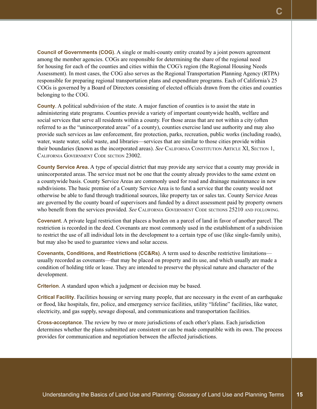**Council of Governments (COG)**. A single or multi-county entity created by a joint powers agreement among the member agencies. COGs are responsible for determining the share of the regional need for housing for each of the counties and cities within the COG's region (the Regional Housing Needs Assessment). In most cases, the COG also serves as the Regional Transportation Planning Agency (RTPA) responsible for preparing regional transportation plans and expenditure programs. Each of California's 25 COGs is governed by a Board of Directors consisting of elected officials drawn from the cities and counties belonging to the COG.

**County**. A political subdivision of the state. A major function of counties is to assist the state in administering state programs. Counties provide a variety of important countywide health, welfare and social services that serve all residents within a county. For those areas that are not within a city (often referred to as the "unincorporated areas" of a county), counties exercise land use authority and may also provide such services as law enforcement, fire protection, parks, recreation, public works (including roads), water, waste water, solid waste, and libraries—services that are similar to those cities provide within their boundaries (known as the incorporated areas). *See* California Constitution Article XI, Section 1, California Government Code section 23002.

**County Service Area.** A type of special district that may provide any service that a county may provide in unincorporated areas. The service must not be one that the county already provides to the same extent on a countywide basis. County Service Areas are commonly used for road and drainage maintenance in new subdivisions. The basic premise of a County Service Area is to fund a service that the county would not otherwise be able to fund through traditional sources, like property tax or sales tax. County Service Areas are governed by the county board of supervisors and funded by a direct assessment paid by property owners who benefit from the services provided. *See* CALIFORNIA GOVERNMENT CODE SECTIONS 25210 AND FOLLOWING.

**Covenant**. A private legal restriction that places a burden on a parcel of land in favor of another parcel. The restriction is recorded in the deed. Covenants are most commonly used in the establishment of a subdivision to restrict the use of all individual lots in the development to a certain type of use (like single-family units), but may also be used to guarantee views and solar access.

**Covenants, Conditions, and Restrictions (CC&Rs)**. A term used to describe restrictive limitations usually recorded as covenants—that may be placed on property and its use, and which usually are made a condition of holding title or lease. They are intended to preserve the physical nature and character of the development.

**Criterion.** A standard upon which a judgment or decision may be based.

**Critical Facility**. Facilities housing or serving many people, that are necessary in the event of an earthquake or flood, like hospitals, fire, police, and emergency service facilities, utility "lifeline" facilities, like water, electricity, and gas supply, sewage disposal, and communications and transportation facilities.

**Cross-acceptance**. The review by two or more jurisdictions of each other's plans. Each jurisdiction determines whether the plans submitted are consistent or can be made compatible with its own. The process provides for communication and negotiation between the affected jurisdictions.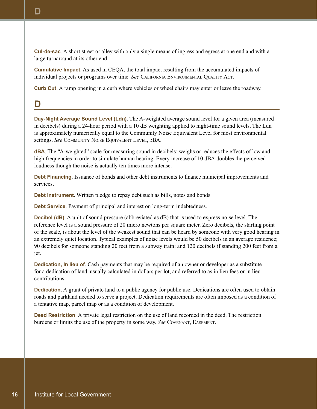**Cul-de-sac**. A short street or alley with only a single means of ingress and egress at one end and with a large turnaround at its other end.

**Cumulative Impact**. As used in CEQA, the total impact resulting from the accumulated impacts of individual projects or programs over time. *See* California Environmental Quality Act.

**Curb Cut**. A ramp opening in a curb where vehicles or wheel chairs may enter or leave the roadway.

**D**

**Day-Night Average Sound Level (Ldn)**. The A-weighted average sound level for a given area (measured in decibels) during a 24-hour period with a 10 dB weighting applied to night-time sound levels. The Ldn is approximately numerically equal to the Community Noise Equivalent Level for most environmental settings. See COMMUNITY NOISE EQUIVALENT LEVEL, DBA.

**dBA**. The "A-weighted" scale for measuring sound in decibels; weighs or reduces the effects of low and high frequencies in order to simulate human hearing. Every increase of 10 dBA doubles the perceived loudness though the noise is actually ten times more intense.

**Debt Financing**. Issuance of bonds and other debt instruments to finance municipal improvements and services.

**Debt Instrument**. Written pledge to repay debt such as bills, notes and bonds.

**Debt Service**. Payment of principal and interest on long-term indebtedness.

**Decibel (dB)**. A unit of sound pressure (abbreviated as dB) that is used to express noise level. The reference level is a sound pressure of 20 micro newtons per square meter. Zero decibels, the starting point of the scale, is about the level of the weakest sound that can be heard by someone with very good hearing in an extremely quiet location. Typical examples of noise levels would be 50 decibels in an average residence; 90 decibels for someone standing 20 feet from a subway train; and 120 decibels if standing 200 feet from a jet.

**Dedication, In lieu of**. Cash payments that may be required of an owner or developer as a substitute for a dedication of land, usually calculated in dollars per lot, and referred to as in lieu fees or in lieu contributions.

**Dedication**. A grant of private land to a public agency for public use. Dedications are often used to obtain roads and parkland needed to serve a project. Dedication requirements are often imposed as a condition of a tentative map, parcel map or as a condition of development.

**Deed Restriction**. A private legal restriction on the use of land recorded in the deed. The restriction burdens or limits the use of the property in some way. *See* Covenant, Easement.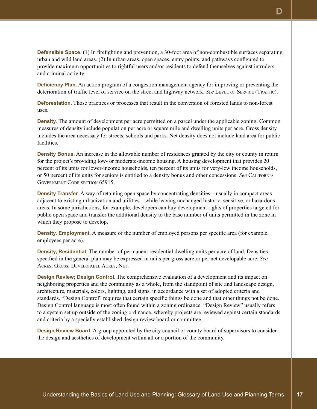**Defensible Space**. (1) In firefighting and prevention, a 30-foot area of non-combustible surfaces separating urban and wild land areas. (2) In urban areas, open spaces, entry points, and pathways configured to provide maximum opportunities to rightful users and/or residents to defend themselves against intruders and criminal activity.

**Deficiency Plan.** An action program of a congestion management agency for improving or preventing the deterioration of traffic level of service on the street and highway network. *See* Level of Service (Traffic).

**Deforestation**. Those practices or processes that result in the conversion of forested lands to non-forest uses.

**Density**. The amount of development per acre permitted on a parcel under the applicable zoning. Common measures of density include population per acre or square mile and dwelling units per acre. Gross density includes the area necessary for streets, schools and parks. Net density does not include land area for public facilities.

**Density Bonus**. An increase in the allowable number of residences granted by the city or county in return for the project's providing low- or moderate-income housing. A housing development that provides 20 percent of its units for lower-income households, ten percent of its units for very-low income households, or 50 percent of its units for seniors is entitled to a density bonus and other concessions. *See* California GOVERNMENT CODE SECTION 65915.

**Density Transfer**. A way of retaining open space by concentrating densities—usually in compact areas adjacent to existing urbanization and utilities—while leaving unchanged historic, sensitive, or hazardous areas. In some jurisdictions, for example, developers can buy development rights of properties targeted for public open space and transfer the additional density to the base number of units permitted in the zone in which they propose to develop.

**Density, Employment**. A measure of the number of employed persons per specific area (for example, employees per acre).

**Density, Residential**. The number of permanent residential dwelling units per acre of land. Densities specified in the general plan may be expressed in units per gross acre or per net developable acre. *See* Acres, Gross; Developable Acres, Net.

**Design Review; Design Control**. The comprehensive evaluation of a development and its impact on neighboring properties and the community as a whole, from the standpoint of site and landscape design, architecture, materials, colors, lighting, and signs, in accordance with a set of adopted criteria and standards. "Design Control" requires that certain specific things be done and that other things not be done. Design Control language is most often found within a zoning ordinance. "Design Review" usually refers to a system set up outside of the zoning ordinance, whereby projects are reviewed against certain standards and criteria by a specially established design review board or committee.

**Design Review Board**. A group appointed by the city council or county board of supervisors to consider the design and aesthetics of development within all or a portion of the community.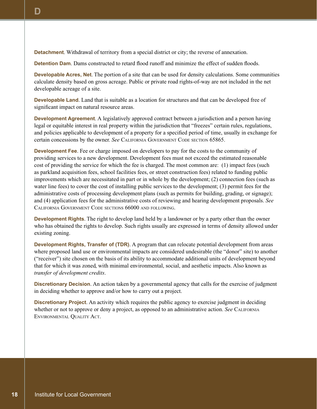**D**

**Detachment**. Withdrawal of territory from a special district or city; the reverse of annexation.

**Detention Dam.** Dams constructed to retard flood runoff and minimize the effect of sudden floods.

**Developable Acres, Net**. The portion of a site that can be used for density calculations. Some communities calculate density based on gross acreage. Public or private road rights-of-way are not included in the net developable acreage of a site.

**Developable Land**. Land that is suitable as a location for structures and that can be developed free of significant impact on natural resource areas.

**Development Agreement**. A legislatively approved contract between a jurisdiction and a person having legal or equitable interest in real property within the jurisdiction that "freezes" certain rules, regulations, and policies applicable to development of a property for a specified period of time, usually in exchange for certain concessions by the owner. *See* California Government Code section 65865.

**Development Fee**. Fee or charge imposed on developers to pay for the costs to the community of providing services to a new development. Development fees must not exceed the estimated reasonable cost of providing the service for which the fee is charged. The most common are: (1) impact fees (such as parkland acquisition fees, school facilities fees, or street construction fees) related to funding public improvements which are necessitated in part or in whole by the development; (2) connection fees (such as water line fees) to cover the cost of installing public services to the development; (3) permit fees for the administrative costs of processing development plans (such as permits for building, grading, or signage); and (4) application fees for the administrative costs of reviewing and hearing development proposals. *See* California Government Code sections 66000 and following.

**Development Rights**. The right to develop land held by a landowner or by a party other than the owner who has obtained the rights to develop. Such rights usually are expressed in terms of density allowed under existing zoning.

**Development Rights, Transfer of (TDR)**. A program that can relocate potential development from areas where proposed land use or environmental impacts are considered undesirable (the "donor" site) to another ("receiver") site chosen on the basis of its ability to accommodate additional units of development beyond that for which it was zoned, with minimal environmental, social, and aesthetic impacts. Also known as *transfer of development credits*.

**Discretionary Decision**. An action taken by a governmental agency that calls for the exercise of judgment in deciding whether to approve and/or how to carry out a project.

**Discretionary Project**. An activity which requires the public agency to exercise judgment in deciding whether or not to approve or deny a project, as opposed to an administrative action. *See* CALIFORNIA Environmental Quality Act.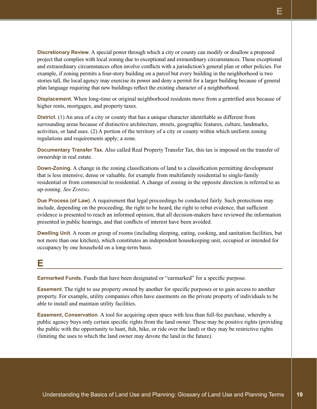**Discretionary Review**. A special power through which a city or county can modify or disallow a proposed project that complies with local zoning due to exceptional and extraordinary circumstances. These exceptional and extraordinary circumstances often involve conflicts with a jurisdiction's general plan or other policies. For example, if zoning permits a four-story building on a parcel but every building in the neighborhood is two stories tall, the local agency may exercise its power and deny a permit for a larger building because of general plan language requiring that new buildings reflect the existing character of a neighborhood.

**Displacement**. When long-time or original neighborhood residents move from a gentrified area because of higher rents, mortgages, and property taxes.

**District**. (1) An area of a city or county that has a unique character identifiable as different from surrounding areas because of distinctive architecture, streets, geographic features, culture, landmarks, activities, or land uses. (2) A portion of the territory of a city or county within which uniform zoning regulations and requirements apply; a zone.

**Documentary Transfer Tax**. Also called Real Property Transfer Tax, this tax is imposed on the transfer of ownership in real estate.

**Down-Zoning**. A change in the zoning classifications of land to a classification permitting development that is less intensive, dense or valuable, for example from multifamily residential to single-family residential or from commercial to residential. A change of zoning in the opposite direction is referred to as up-zoning. *See* Zoning.

**Due Process (of Law)**. A requirement that legal proceedings be conducted fairly. Such protections may include, depending on the proceeding, the right to be heard, the right to rebut evidence, that sufficient evidence is presented to reach an informed opinion, that all decision-makers have reviewed the information presented in public hearings, and that conflicts of interest have been avoided.

**Dwelling Unit.** A room or group of rooms (including sleeping, eating, cooking, and sanitation facilities, but not more than one kitchen), which constitutes an independent housekeeping unit, occupied or intended for occupancy by one household on a long-term basis.

#### **E**

**Earmarked Funds**. Funds that have been designated or "earmarked" for a specific purpose.

**Easement**. The right to use property owned by another for specific purposes or to gain access to another property. For example, utility companies often have easements on the private property of individuals to be able to install and maintain utility facilities.

**Easement, Conservation**. A tool for acquiring open space with less than full-fee purchase, whereby a public agency buys only certain specific rights from the land owner. These may be positive rights (providing the public with the opportunity to hunt, fish, hike, or ride over the land) or they may be restrictive rights (limiting the uses to which the land owner may devote the land in the future).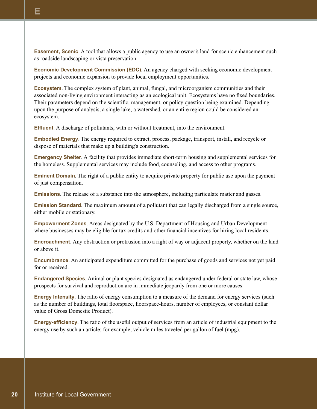**Easement, Scenic.** A tool that allows a public agency to use an owner's land for scenic enhancement such as roadside landscaping or vista preservation.

**Economic Development Commission (EDC)**. An agency charged with seeking economic development projects and economic expansion to provide local employment opportunities.

**Ecosystem**. The complex system of plant, animal, fungal, and microorganism communities and their associated non-living environment interacting as an ecological unit. Ecosystems have no fixed boundaries. Their parameters depend on the scientific, management, or policy question being examined. Depending upon the purpose of analysis, a single lake, a watershed, or an entire region could be considered an ecosystem.

**Effluent**. A discharge of pollutants, with or without treatment, into the environment.

**Embodied Energy**. The energy required to extract, process, package, transport, install, and recycle or dispose of materials that make up a building's construction.

**Emergency Shelter**. A facility that provides immediate short-term housing and supplemental services for the homeless. Supplemental services may include food, counseling, and access to other programs.

**Eminent Domain.** The right of a public entity to acquire private property for public use upon the payment of just compensation.

**Emissions**. The release of a substance into the atmosphere, including particulate matter and gasses.

**Emission Standard**. The maximum amount of a pollutant that can legally discharged from a single source, either mobile or stationary.

**Empowerment Zones**. Areas designated by the U.S. Department of Housing and Urban Development where businesses may be eligible for tax credits and other financial incentives for hiring local residents.

**Encroachment**. Any obstruction or protrusion into a right of way or adjacent property, whether on the land or above it.

**Encumbrance**. An anticipated expenditure committed for the purchase of goods and services not yet paid for or received.

**Endangered Species**. Animal or plant species designated as endangered under federal or state law, whose prospects for survival and reproduction are in immediate jeopardy from one or more causes.

**Energy Intensity**. The ratio of energy consumption to a measure of the demand for energy services (such as the number of buildings, total floorspace, floorspace-hours, number of employees, or constant dollar value of Gross Domestic Product).

**Energy-efficiency**. The ratio of the useful output of services from an article of industrial equipment to the energy use by such an article; for example, vehicle miles traveled per gallon of fuel (mpg).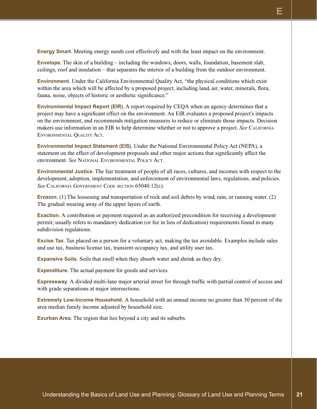**Energy Smart**. Meeting energy needs cost effectively and with the least impact on the environment.

**Envelope**. The skin of a building – including the windows, doors, walls, foundation, basement slab, ceilings, roof and insulation – that separates the interior of a building from the outdoor environment.

**Environment**. Under the California Environmental Quality Act, "the physical conditions which exist within the area which will be affected by a proposed project, including land, air, water, minerals, flora, fauna, noise, objects of historic or aesthetic significance."

**Environmental Impact Report (EIR)**. A report required by CEQA when an agency determines that a project may have a significant effect on the environment. An EIR evaluates a proposed project's impacts on the environment, and recommends mitigation measures to reduce or eliminate those impacts. Decision makers use information in an EIR to help determine whether or not to approve a project. *See* California Environmental Quality Act.

**Environmental Impact Statement (EIS)**. Under the National Environmental Policy Act (NEPA), a statement on the effect of development proposals and other major actions that significantly affect the environment. *See* National Environmental Policy Act.

**Environmental Justice**. The fair treatment of people of all races, cultures, and incomes with respect to the development, adoption, implementation, and enforcement of environmental laws, regulations, and policies. *See* California Government Code section 65040.12(e).

**Erosion**. (1) The loosening and transportation of rock and soil debris by wind, rain, or running water. (2) The gradual wearing away of the upper layers of earth.

**Exaction**. A contribution or payment required as an authorized precondition for receiving a development permit; usually refers to mandatory dedication (or fee in lieu of dedication) requirements found in many subdivision regulations.

**Excise Tax**. Tax placed on a person for a voluntary act, making the tax avoidable. Examples include sales and use tax, business license tax, transient occupancy tax, and utility user tax.

**Expansive Soils**. Soils that swell when they absorb water and shrink as they dry.

**Expenditure.** The actual payment for goods and services.

**Expressway**. A divided multi-lane major arterial street for through traffic with partial control of access and with grade separations at major intersections.

**Extremely Low-Income Household.** A household with an annual income no greater than 30 percent of the area median family income adjusted by household size.

**Exurban Area**. The region that lies beyond a city and its suburbs.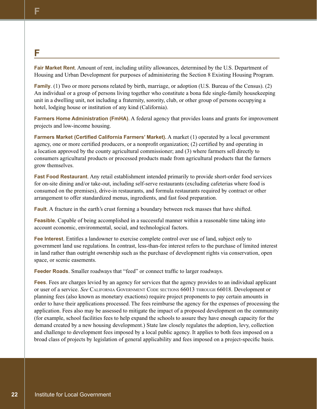#### **F**

**Fair Market Rent**. Amount of rent, including utility allowances, determined by the U.S. Department of Housing and Urban Development for purposes of administering the Section 8 Existing Housing Program.

**Family**. (1) Two or more persons related by birth, marriage, or adoption (U.S. Bureau of the Census). (2) An individual or a group of persons living together who constitute a bona fide single-family housekeeping unit in a dwelling unit, not including a fraternity, sorority, club, or other group of persons occupying a hotel, lodging house or institution of any kind (California).

**Farmers Home Administration (FmHA)**. A federal agency that provides loans and grants for improvement projects and low-income housing.

**Farmers Market (Certified California Farmers' Market).** A market (1) operated by a local government agency, one or more certified producers, or a nonprofit organization; (2) certified by and operating in a location approved by the county agricultural commissioner; and (3) where farmers sell directly to consumers agricultural products or processed products made from agricultural products that the farmers grow themselves.

**Fast Food Restaurant**. Any retail establishment intended primarily to provide short-order food services for on-site dining and/or take-out, including self-serve restaurants (excluding cafeterias where food is consumed on the premises), drive-in restaurants, and formula restaurants required by contract or other arrangement to offer standardized menus, ingredients, and fast food preparation.

**Fault**. A fracture in the earth's crust forming a boundary between rock masses that have shifted.

**Feasible**. Capable of being accomplished in a successful manner within a reasonable time taking into account economic, environmental, social, and technological factors.

**Fee Interest**. Entitles a landowner to exercise complete control over use of land, subject only to government land use regulations. In contrast, less-than-fee interest refers to the purchase of limited interest in land rather than outright ownership such as the purchase of development rights via conservation, open space, or scenic easements.

**Feeder Roads**. Smaller roadways that "feed" or connect traffic to larger roadways.

**Fees**. Fees are charges levied by an agency for services that the agency provides to an individual applicant or user of a service. *See* California Government Code sections 66013 through 66018. Development or planning fees (also known as monetary exactions) require project proponents to pay certain amounts in order to have their applications processed. The fees reimburse the agency for the expenses of processing the application. Fees also may be assessed to mitigate the impact of a proposed development on the community (for example, school facilities fees to help expand the schools to assure they have enough capacity for the demand created by a new housing development.) State law closely regulates the adoption, levy, collection and challenge to development fees imposed by a local public agency. It applies to both fees imposed on a broad class of projects by legislation of general applicability and fees imposed on a project-specific basis.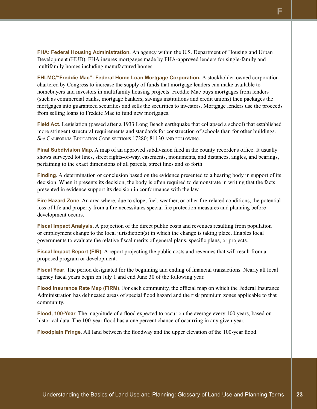**FHA: Federal Housing Administration.** An agency within the U.S. Department of Housing and Urban Development (HUD). FHA insures mortgages made by FHA-approved lenders for single-family and multifamily homes including manufactured homes.

**FHLMC/"Freddie Mac": Federal Home Loan Mortgage Corporation.** A stockholder-owned corporation chartered by Congress to increase the supply of funds that mortgage lenders can make available to homebuyers and investors in multifamily housing projects. Freddie Mac buys mortgages from lenders (such as commercial banks, mortgage bankers, savings institutions and credit unions) then packages the mortgages into guaranteed securities and sells the securities to investors. Mortgage lenders use the proceeds from selling loans to Freddie Mac to fund new mortgages.

**Field Act**. Legislation (passed after a 1933 Long Beach earthquake that collapsed a school) that established more stringent structural requirements and standards for construction of schools than for other buildings. *See* California Education Code sections 17280; 81130 and following.

**Final Subdivision Map.** A map of an approved subdivision filed in the county recorder's office. It usually shows surveyed lot lines, street rights-of-way, easements, monuments, and distances, angles, and bearings, pertaining to the exact dimensions of all parcels, street lines and so forth.

**Finding**. A determination or conclusion based on the evidence presented to a hearing body in support of its decision. When it presents its decision, the body is often required to demonstrate in writing that the facts presented in evidence support its decision in conformance with the law.

**Fire Hazard Zone**. An area where, due to slope, fuel, weather, or other fire-related conditions, the potential loss of life and property from a fire necessitates special fire protection measures and planning before development occurs.

**Fiscal Impact Analysis**. A projection of the direct public costs and revenues resulting from population or employment change to the local jurisdiction(s) in which the change is taking place. Enables local governments to evaluate the relative fiscal merits of general plans, specific plans, or projects.

**Fiscal Impact Report (FIR)**. A report projecting the public costs and revenues that will result from a proposed program or development.

**Fiscal Year**. The period designated for the beginning and ending of financial transactions. Nearly all local agency fiscal years begin on July 1 and end June 30 of the following year.

**Flood Insurance Rate Map (FIRM)**. For each community, the official map on which the Federal Insurance Administration has delineated areas of special flood hazard and the risk premium zones applicable to that community.

**Flood, 100-Year**. The magnitude of a flood expected to occur on the average every 100 years, based on historical data. The 100-year flood has a one percent chance of occurring in any given year.

**Floodplain Fringe**. All land between the floodway and the upper elevation of the 100-year flood.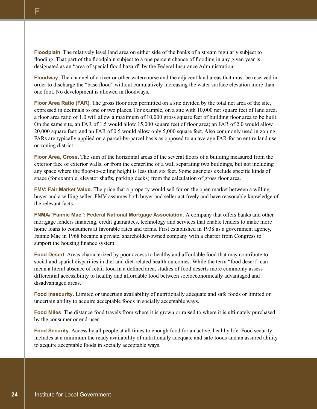**F**

**Floodplain**. The relatively level land area on either side of the banks of a stream regularly subject to flooding. That part of the floodplain subject to a one percent chance of flooding in any given year is designated as an "area of special flood hazard" by the Federal Insurance Administration.

**Floodway**. The channel of a river or other watercourse and the adjacent land areas that must be reserved in order to discharge the "base flood" without cumulatively increasing the water surface elevation more than one foot. No development is allowed in floodways.

**Floor Area Ratio (FAR)**. The gross floor area permitted on a site divided by the total net area of the site, expressed in decimals to one or two places. For example, on a site with 10,000 net square feet of land area, a floor area ratio of 1.0 will allow a maximum of 10,000 gross square feet of building floor area to be built. On the same site, an FAR of 1.5 would allow 15,000 square feet of floor area; an FAR of 2.0 would allow 20,000 square feet; and an FAR of 0.5 would allow only 5,000 square feet. Also commonly used in zoning, FARs are typically applied on a parcel-by-parcel basis as opposed to an average FAR for an entire land use or zoning district.

**Floor Area, Gross**. The sum of the horizontal areas of the several floors of a building measured from the exterior face of exterior walls, or from the centerline of a wall separating two buildings, but not including any space where the floor-to-ceiling height is less than six feet. Some agencies exclude specific kinds of space (for example, elevator shafts, parking decks) from the calculation of gross floor area.

**FMV: Fair Market Value.** The price that a property would sell for on the open market between a willing buyer and a willing seller. FMV assumes both buyer and seller act freely and have reasonable knowledge of the relevant facts.

**FNMA/"Fannie Mae": Federal National Mortgage Association.** A company that offers banks and other mortgage lenders financing, credit guarantees, technology and services that enable lenders to make more home loans to consumers at favorable rates and terms. First established in 1938 as a government agency, Fannie Mae in 1968 became a private, shareholder-owned company with a charter from Congress to support the housing finance system.

**Food Desert**. Areas characterized by poor access to healthy and affordable food that may contribute to social and spatial disparities in diet and diet-related health outcomes. While the term "food desert" can mean a literal absence of retail food in a defined area, studies of food deserts more commonly assess differential accessibility to healthy and affordable food between socioeconomically advantaged and disadvantaged areas.

**Food Insecurity**. Limited or uncertain availability of nutritionally adequate and safe foods or limited or uncertain ability to acquire acceptable foods in socially acceptable ways.

**Food Miles**. The distance food travels from where it is grown or raised to where it is ultimately purchased by the consumer or end-user.

**Food Security**. Access by all people at all times to enough food for an active, healthy life. Food security includes at a minimum the ready availability of nutritionally adequate and safe foods and an assured ability to acquire acceptable foods in socially acceptable ways.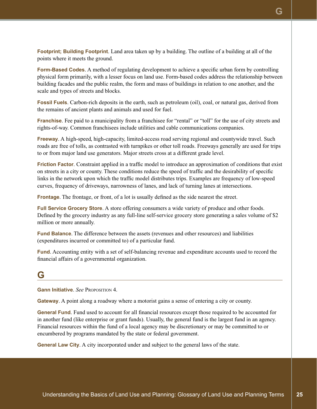**Footprint; Building Footprint**. Land area taken up by a building. The outline of a building at all of the points where it meets the ground.

**Form-Based Codes**. A method of regulating development to achieve a specific urban form by controlling physical form primarily, with a lesser focus on land use. Form-based codes address the relationship between building facades and the public realm, the form and mass of buildings in relation to one another, and the scale and types of streets and blocks.

**Fossil Fuels**. Carbon-rich deposits in the earth, such as petroleum (oil), coal, or natural gas, derived from the remains of ancient plants and animals and used for fuel.

**Franchise**. Fee paid to a municipality from a franchisee for "rental" or "toll" for the use of city streets and rights-of-way. Common franchisees include utilities and cable communications companies.

**Freeway**. A high-speed, high-capacity, limited-access road serving regional and countywide travel. Such roads are free of tolls, as contrasted with turnpikes or other toll roads. Freeways generally are used for trips to or from major land use generators. Major streets cross at a different grade level.

**Friction Factor**. Constraint applied in a traffic model to introduce an approximation of conditions that exist on streets in a city or county. These conditions reduce the speed of traffic and the desirability of specific links in the network upon which the traffic model distributes trips. Examples are frequency of low-speed curves, frequency of driveways, narrowness of lanes, and lack of turning lanes at intersections.

**Frontage.** The frontage, or front, of a lot is usually defined as the side nearest the street.

**Full Service Grocery Store**. A store offering consumers a wide variety of produce and other foods. Defined by the grocery industry as any full-line self-service grocery store generating a sales volume of \$2 million or more annually.

**Fund Balance**. The difference between the assets (revenues and other resources) and liabilities (expenditures incurred or committed to) of a particular fund.

**Fund**. Accounting entity with a set of self-balancing revenue and expenditure accounts used to record the financial affairs of a governmental organization.

#### **G**

**Gann Initiative**. *See* Proposition 4.

**Gateway**. A point along a roadway where a motorist gains a sense of entering a city or county.

**General Fund.** Fund used to account for all financial resources except those required to be accounted for in another fund (like enterprise or grant funds). Usually, the general fund is the largest fund in an agency. Financial resources within the fund of a local agency may be discretionary or may be committed to or encumbered by programs mandated by the state or federal government.

**General Law City**. A city incorporated under and subject to the general laws of the state.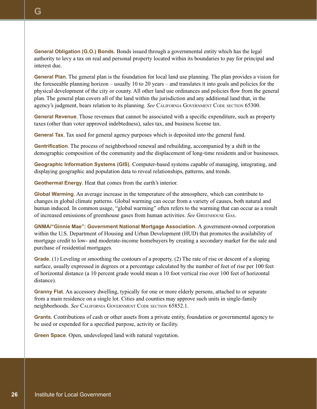**General Obligation (G.O.) Bonds**. Bonds issued through a governmental entity which has the legal authority to levy a tax on real and personal property located within its boundaries to pay for principal and interest due.

**General Plan**. The general plan is the foundation for local land use planning. The plan provides a vision for the foreseeable planning horizon – usually 10 to 20 years – and translates it into goals and policies for the physical development of the city or county. All other land use ordinances and policies flow from the general plan. The general plan covers all of the land within the jurisdiction and any additional land that, in the agency's judgment, bears relation to its planning. *See* CALIFORNIA GOVERNMENT CODE SECTION 65300.

**General Revenue**. Those revenues that cannot be associated with a specific expenditure, such as property taxes (other than voter approved indebtedness), sales tax, and business license tax.

**General Tax**. Tax used for general agency purposes which is deposited into the general fund.

**Gentrification**. The process of neighborhood renewal and rebuilding, accompanied by a shift in the demographic composition of the community and the displacement of long-time residents and/or businesses.

**Geographic Information Systems (GIS)**. Computer-based systems capable of managing, integrating, and displaying geographic and population data to reveal relationships, patterns, and trends.

**Geothermal Energy**. Heat that comes from the earth's interior.

**Global Warming**. An average increase in the temperature of the atmosphere, which can contribute to changes in global climate patterns. Global warming can occur from a variety of causes, both natural and human induced. In common usage, "global warming" often refers to the warming that can occur as a result of increased emissions of greenhouse gases from human activities. *See* Greenhouse Gas.

**GNMA/"Ginnie Mae": Government National Mortgage Association.** A government-owned corporation within the U.S. Department of Housing and Urban Development (HUD) that promotes the availability of mortgage credit to low- and moderate-income homebuyers by creating a secondary market for the sale and purchase of residential mortgages.

**Grade**. (1) Leveling or smoothing the contours of a property. (2) The rate of rise or descent of a sloping surface, usually expressed in degrees or a percentage calculated by the number of feet of rise per 100 feet of horizontal distance (a 10 percent grade would mean a 10 foot vertical rise over 100 feet of horizontal distance).

**Granny Flat**. An accessory dwelling, typically for one or more elderly persons, attached to or separate from a main residence on a single lot. Cities and counties may approve such units in single-family neighborhoods. *See* CALIFORNIA GOVERNMENT CODE SECTION 65852.1.

**Grants**. Contributions of cash or other assets from a private entity, foundation or governmental agency to be used or expended for a specified purpose, activity or facility.

**Green Space**. Open, undeveloped land with natural vegetation.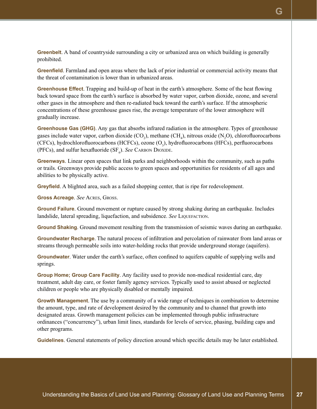**Greenbelt**. A band of countryside surrounding a city or urbanized area on which building is generally prohibited.

**Greenfield**. Farmland and open areas where the lack of prior industrial or commercial activity means that the threat of contamination is lower than in urbanized areas.

**Greenhouse Effect**. Trapping and build-up of heat in the earth's atmosphere. Some of the heat flowing back toward space from the earth's surface is absorbed by water vapor, carbon dioxide, ozone, and several other gases in the atmosphere and then re-radiated back toward the earth's surface. If the atmospheric concentrations of these greenhouse gases rise, the average temperature of the lower atmosphere will gradually increase.

**Greenhouse Gas (GHG)**. Any gas that absorbs infrared radiation in the atmosphere. Types of greenhouse gases include water vapor, carbon dioxide  $(CO_2)$ , methane  $(CH_4)$ , nitrous oxide  $(N_2O)$ , chlorofluorocarbons (CFCs), hydrochlorofluorocarbons (HCFCs), ozone  $(O_3)$ , hydrofluorocarbons (HFCs), perfluorocarbons (PFCs), and sulfur hexafluoride  $(SF<sub>6</sub>)$ . *See* CARBON DIOXIDE.

**Greenways**. Linear open spaces that link parks and neighborhoods within the community, such as paths or trails. Greenways provide public access to green spaces and opportunities for residents of all ages and abilities to be physically active.

**Greyfield**. A blighted area, such as a failed shopping center, that is ripe for redevelopment.

**Gross Acreage**. *See* Acres, Gross.

**Ground Failure**. Ground movement or rupture caused by strong shaking during an earthquake. Includes landslide, lateral spreading, liquefaction, and subsidence. *See* Liquefaction.

**Ground Shaking**. Ground movement resulting from the transmission of seismic waves during an earthquake.

**Groundwater Recharge**. The natural process of infiltration and percolation of rainwater from land areas or streams through permeable soils into water-holding rocks that provide underground storage (aquifers).

**Groundwater**. Water under the earth's surface, often confined to aquifers capable of supplying wells and springs.

**Group Home; Group Care Facility**. Any facility used to provide non-medical residential care, day treatment, adult day care, or foster family agency services. Typically used to assist abused or neglected children or people who are physically disabled or mentally impaired.

**Growth Management**. The use by a community of a wide range of techniques in combination to determine the amount, type, and rate of development desired by the community and to channel that growth into designated areas. Growth management policies can be implemented through public infrastructure ordinances ("concurrency"), urban limit lines, standards for levels of service, phasing, building caps and other programs.

**Guidelines**. General statements of policy direction around which specific details may be later established.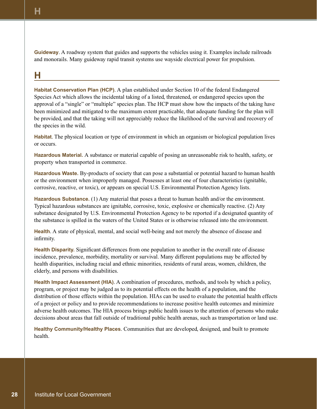**Guideway**. A roadway system that guides and supports the vehicles using it. Examples include railroads and monorails. Many guideway rapid transit systems use wayside electrical power for propulsion.

#### **H**

**H**

**Habitat Conservation Plan (HCP)**. A plan established under Section 10 of the federal Endangered Species Act which allows the incidental taking of a listed, threatened, or endangered species upon the approval of a "single" or "multiple" species plan. The HCP must show how the impacts of the taking have been minimized and mitigated to the maximum extent practicable, that adequate funding for the plan will be provided, and that the taking will not appreciably reduce the likelihood of the survival and recovery of the species in the wild.

**Habitat**. The physical location or type of environment in which an organism or biological population lives or occurs.

**Hazardous Material.** A substance or material capable of posing an unreasonable risk to health, safety, or property when transported in commerce.

**Hazardous Waste.** By-products of society that can pose a substantial or potential hazard to human health or the environment when improperly managed. Possesses at least one of four characteristics (ignitable, corrosive, reactive, or toxic), or appears on special U.S. Environmental Protection Agency lists.

**Hazardous Substance.** (1) Any material that poses a threat to human health and/or the environment. Typical hazardous substances are ignitable, corrosive, toxic, explosive or chemically reactive. (2) Any substance designated by U.S. Environmental Protection Agency to be reported if a designated quantity of the substance is spilled in the waters of the United States or is otherwise released into the environment.

**Health**. A state of physical, mental, and social well-being and not merely the absence of disease and infirmity.

**Health Disparity.** Significant differences from one population to another in the overall rate of disease incidence, prevalence, morbidity, mortality or survival. Many different populations may be affected by health disparities, including racial and ethnic minorities, residents of rural areas, women, children, the elderly, and persons with disabilities.

**Health Impact Assessment (HIA)**. A combination of procedures, methods, and tools by which a policy, program, or project may be judged as to its potential effects on the health of a population, and the distribution of those effects within the population. HIAs can be used to evaluate the potential health effects of a project or policy and to provide recommendations to increase positive health outcomes and minimize adverse health outcomes. The HIA process brings public health issues to the attention of persons who make decisions about areas that fall outside of traditional public health arenas, such as transportation or land use.

**Healthy Community/Healthy Places**. Communities that are developed, designed, and built to promote health.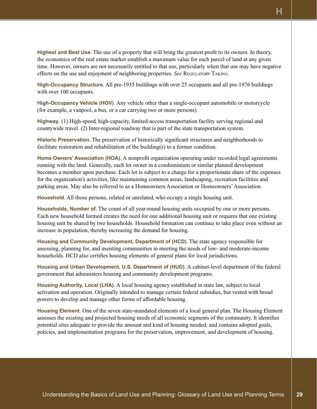**Highest and Best Use**. The use of a property that will bring the greatest profit to its owners. In theory, the economics of the real estate market establish a maximum value for each parcel of land at any given time. However, owners are not necessarily entitled to that use, particularly when that use may have negative effects on the use and enjoyment of neighboring properties. *See* Regulatory Taking.

**High-Occupancy Structure**. All pre-1935 buildings with over 25 occupants and all pre-1976 buildings with over 100 occupants.

**High-Occupancy Vehicle (HOV)**. Any vehicle other than a single-occupant automobile or motorcycle (for example, a vanpool, a bus, or a car carrying two or more persons).

**Highway**. (1) High-speed, high-capacity, limited-access transportation facility serving regional and countywide travel. (2) Inter-regional roadway that is part of the state transportation system.

**Historic Preservation**. The preservation of historically significant structures and neighborhoods to facilitate restoration and rehabilitation of the building(s) to a former condition.

**Home Owners' Association (HOA)**. A nonprofit organization operating under recorded legal agreements running with the land. Generally, each lot owner in a condominium or similar planned development becomes a member upon purchase. Each lot is subject to a charge for a proportionate share of the expenses for the organization's activities, like maintaining common areas, landscaping, recreation facilities and parking areas. May also be referred to as a Homeowners Association or Homeowners' Association.

**Household**. All those persons, related or unrelated, who occupy a single housing unit.

**Households, Number of**. The count of all year-round housing units occupied by one or more persons. Each new household formed creates the need for one additional housing unit or requires that one existing housing unit be shared by two households. Household formation can continue to take place even without an increase in population, thereby increasing the demand for housing.

**Housing and Community Development, Department of (HCD)**. The state agency responsible for assessing, planning for, and assisting communities in meeting the needs of low- and moderate-income households. HCD also certifies housing elements of general plans for local jurisdictions.

**Housing and Urban Development, U.S. Department of (HUD)**. A cabinet-level department of the federal government that administers housing and community development programs.

**Housing Authority, Local (LHA)**. A local housing agency established in state law, subject to local activation and operation. Originally intended to manage certain federal subsidies, but vested with broad powers to develop and manage other forms of affordable housing.

**Housing Element**. One of the seven state-mandated elements of a local general plan. The Housing Element assesses the existing and projected housing needs of all economic segments of the community. It identifies potential sites adequate to provide the amount and kind of housing needed; and contains adopted goals, policies, and implementation programs for the preservation, improvement, and development of housing.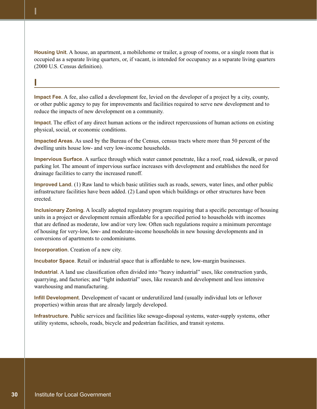**Housing Unit**. A house, an apartment, a mobilehome or trailer, a group of rooms, or a single room that is occupied as a separate living quarters, or, if vacant, is intended for occupancy as a separate living quarters (2000 U.S. Census definition).

**Impact Fee**. A fee, also called a development fee, levied on the developer of a project by a city, county, or other public agency to pay for improvements and facilities required to serve new development and to reduce the impacts of new development on a community.

**Impact**. The effect of any direct human actions or the indirect repercussions of human actions on existing physical, social, or economic conditions.

**Impacted Areas**. As used by the Bureau of the Census, census tracts where more than 50 percent of the dwelling units house low- and very low-income households.

**Impervious Surface**. A surface through which water cannot penetrate, like a roof, road, sidewalk, or paved parking lot. The amount of impervious surface increases with development and establishes the need for drainage facilities to carry the increased runoff.

**Improved Land**. (1) Raw land to which basic utilities such as roads, sewers, water lines, and other public infrastructure facilities have been added. (2) Land upon which buildings or other structures have been erected.

**Inclusionary Zoning**. A locally adopted regulatory program requiring that a specific percentage of housing units in a project or development remain affordable for a specified period to households with incomes that are defined as moderate, low and/or very low. Often such regulations require a minimum percentage of housing for very-low, low- and moderate-income households in new housing developments and in conversions of apartments to condominiums.

**Incorporation**. Creation of a new city.

**I**

**I**

**Incubator Space**. Retail or industrial space that is affordable to new, low-margin businesses.

**Industrial**. A land use classification often divided into "heavy industrial" uses, like construction yards, quarrying, and factories; and "light industrial" uses, like research and development and less intensive warehousing and manufacturing.

**Infill Development**. Development of vacant or underutilized land (usually individual lots or leftover properties) within areas that are already largely developed.

**Infrastructure**. Public services and facilities like sewage-disposal systems, water-supply systems, other utility systems, schools, roads, bicycle and pedestrian facilities, and transit systems.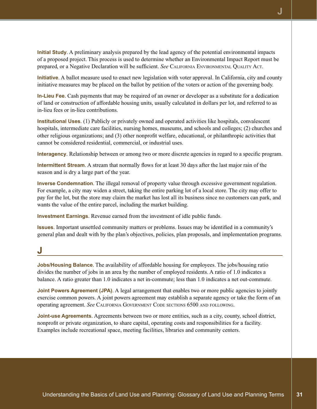**Initial Study**. A preliminary analysis prepared by the lead agency of the potential environmental impacts of a proposed project. This process is used to determine whether an Environmental Impact Report must be prepared, or a Negative Declaration will be sufficient. *See* California Environmental Quality Act.

**Initiative**. A ballot measure used to enact new legislation with voter approval. In California, city and county initiative measures may be placed on the ballot by petition of the voters or action of the governing body.

**In-Lieu Fee**. Cash payments that may be required of an owner or developer as a substitute for a dedication of land or construction of affordable housing units, usually calculated in dollars per lot, and referred to as in-lieu fees or in-lieu contributions.

**Institutional Uses**. (1) Publicly or privately owned and operated activities like hospitals, convalescent hospitals, intermediate care facilities, nursing homes, museums, and schools and colleges; (2) churches and other religious organizations; and (3) other nonprofit welfare, educational, or philanthropic activities that cannot be considered residential, commercial, or industrial uses.

**Interagency**. Relationship between or among two or more discrete agencies in regard to a specific program.

**Intermittent Stream**. A stream that normally flows for at least 30 days after the last major rain of the season and is dry a large part of the year.

**Inverse Condemnation**. The illegal removal of property value through excessive government regulation. For example, a city may widen a street, taking the entire parking lot of a local store. The city may offer to pay for the lot, but the store may claim the market has lost all its business since no customers can park, and wants the value of the entire parcel, including the market building.

**Investment Earnings**. Revenue earned from the investment of idle public funds.

**Issues**. Important unsettled community matters or problems. Issues may be identified in a community's general plan and dealt with by the plan's objectives, policies, plan proposals, and implementation programs.

**J**

**Jobs/Housing Balance**. The availability of affordable housing for employees. The jobs/housing ratio divides the number of jobs in an area by the number of employed residents. A ratio of 1.0 indicates a balance. A ratio greater than 1.0 indicates a net in-commute; less than 1.0 indicates a net out-commute.

**Joint Powers Agreement (JPA)**. A legal arrangement that enables two or more public agencies to jointly exercise common powers. A joint powers agreement may establish a separate agency or take the form of an operating agreement. *See* California Government Code sections 6500 and following.

**Joint-use Agreements**. Agreements between two or more entities, such as a city, county, school district, nonprofit or private organization, to share capital, operating costs and responsibilities for a facility. Examples include recreational space, meeting facilities, libraries and community centers.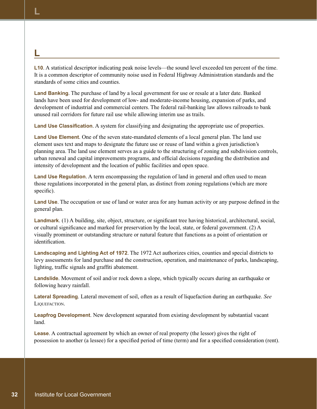#### **L**

**L**

**L10**. A statistical descriptor indicating peak noise levels—the sound level exceeded ten percent of the time. It is a common descriptor of community noise used in Federal Highway Administration standards and the standards of some cities and counties.

**Land Banking**. The purchase of land by a local government for use or resale at a later date. Banked lands have been used for development of low- and moderate-income housing, expansion of parks, and development of industrial and commercial centers. The federal rail-banking law allows railroads to bank unused rail corridors for future rail use while allowing interim use as trails.

**Land Use Classification**. A system for classifying and designating the appropriate use of properties.

**Land Use Element**. One of the seven state-mandated elements of a local general plan. The land use element uses text and maps to designate the future use or reuse of land within a given jurisdiction's planning area. The land use element serves as a guide to the structuring of zoning and subdivision controls, urban renewal and capital improvements programs, and official decisions regarding the distribution and intensity of development and the location of public facilities and open space.

**Land Use Regulation**. A term encompassing the regulation of land in general and often used to mean those regulations incorporated in the general plan, as distinct from zoning regulations (which are more specific).

**Land Use**. The occupation or use of land or water area for any human activity or any purpose defined in the general plan.

**Landmark**. (1) A building, site, object, structure, or significant tree having historical, architectural, social, or cultural significance and marked for preservation by the local, state, or federal government. (2) A visually prominent or outstanding structure or natural feature that functions as a point of orientation or identification.

**Landscaping and Lighting Act of 1972**. The 1972 Act authorizes cities, counties and special districts to levy assessments for land purchase and the construction, operation, and maintenance of parks, landscaping, lighting, traffic signals and graffiti abatement.

**Landslide**. Movement of soil and/or rock down a slope, which typically occurs during an earthquake or following heavy rainfall.

**Lateral Spreading**. Lateral movement of soil, often as a result of liquefaction during an earthquake. *See* LIQUEFACTION.

**Leapfrog Development**. New development separated from existing development by substantial vacant land.

**Lease**. A contractual agreement by which an owner of real property (the lessor) gives the right of possession to another (a lessee) for a specified period of time (term) and for a specified consideration (rent).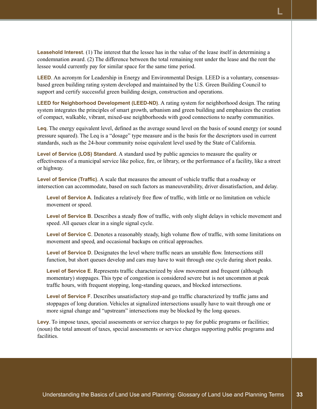**Leasehold Interest**. (1) The interest that the lessee has in the value of the lease itself in determining a condemnation award. (2) The difference between the total remaining rent under the lease and the rent the lessee would currently pay for similar space for the same time period.

**LEED**. An acronym for Leadership in Energy and Environmental Design. LEED is a voluntary, consensusbased green building rating system developed and maintained by the U.S. Green Building Council to support and certify successful green building design, construction and operations.

**LEED for Neighborhood Development (LEED-ND)**. A rating system for neighborhood design. The rating system integrates the principles of smart growth, urbanism and green building and emphasizes the creation of compact, walkable, vibrant, mixed-use neighborhoods with good connections to nearby communities.

**Leq**. The energy equivalent level, defined as the average sound level on the basis of sound energy (or sound pressure squared). The Leq is a "dosage" type measure and is the basis for the descriptors used in current standards, such as the 24-hour community noise equivalent level used by the State of California.

**Level of Service (LOS) Standard**. A standard used by public agencies to measure the quality or effectiveness of a municipal service like police, fire, or library, or the performance of a facility, like a street or highway.

**Level of Service (Traffic)**. A scale that measures the amount of vehicle traffic that a roadway or intersection can accommodate, based on such factors as maneuverability, driver dissatisfaction, and delay.

**Level of Service A**. Indicates a relatively free flow of traffic, with little or no limitation on vehicle movement or speed.

**Level of Service B**. Describes a steady flow of traffic, with only slight delays in vehicle movement and speed. All queues clear in a single signal cycle.

**Level of Service C**. Denotes a reasonably steady, high volume flow of traffic, with some limitations on movement and speed, and occasional backups on critical approaches.

Level of Service D. Designates the level where traffic nears an unstable flow. Intersections still function, but short queues develop and cars may have to wait through one cycle during short peaks.

**Level of Service E**. Represents traffic characterized by slow movement and frequent (although momentary) stoppages. This type of congestion is considered severe but is not uncommon at peak traffic hours, with frequent stopping, long-standing queues, and blocked intersections.

**Level of Service F**. Describes unsatisfactory stop-and go traffic characterized by traffic jams and stoppages of long duration. Vehicles at signalized intersections usually have to wait through one or more signal change and "upstream" intersections may be blocked by the long queues.

**Levy**. To impose taxes, special assessments or service charges to pay for public programs or facilities; (noun) the total amount of taxes, special assessments or service charges supporting public programs and facilities.

**L**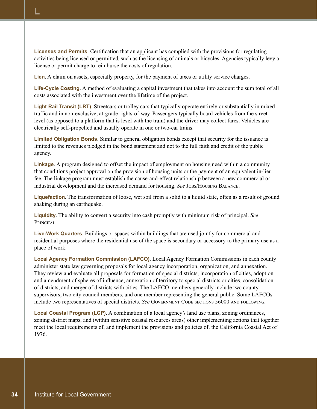**Licenses and Permits**. Certification that an applicant has complied with the provisions for regulating activities being licensed or permitted, such as the licensing of animals or bicycles. Agencies typically levy a license or permit charge to reimburse the costs of regulation.

**Lien**. A claim on assets, especially property, for the payment of taxes or utility service charges.

**Life-Cycle Costing**. A method of evaluating a capital investment that takes into account the sum total of all costs associated with the investment over the lifetime of the project.

**Light Rail Transit (LRT)**. Streetcars or trolley cars that typically operate entirely or substantially in mixed traffic and in non-exclusive, at-grade rights-of-way. Passengers typically board vehicles from the street level (as opposed to a platform that is level with the train) and the driver may collect fares. Vehicles are electrically self-propelled and usually operate in one or two-car trains.

**Limited Obligation Bonds**. Similar to general obligation bonds except that security for the issuance is limited to the revenues pledged in the bond statement and not to the full faith and credit of the public agency.

**Linkage**. A program designed to offset the impact of employment on housing need within a community that conditions project approval on the provision of housing units or the payment of an equivalent in-lieu fee. The linkage program must establish the cause-and-effect relationship between a new commercial or industrial development and the increased demand for housing. *See* Jobs/Housing Balance.

**Liquefaction**. The transformation of loose, wet soil from a solid to a liquid state, often as a result of ground shaking during an earthquake.

**Liquidity**. The ability to convert a security into cash promptly with minimum risk of principal. *See* PRINCIPAL.

**Live-Work Quarters**. Buildings or spaces within buildings that are used jointly for commercial and residential purposes where the residential use of the space is secondary or accessory to the primary use as a place of work.

**Local Agency Formation Commission (LAFCO)**. Local Agency Formation Commissions in each county administer state law governing proposals for local agency incorporation, organization, and annexation. They review and evaluate all proposals for formation of special districts, incorporation of cities, adoption and amendment of spheres of influence, annexation of territory to special districts or cities, consolidation of districts, and merger of districts with cities. The LAFCO members generally include two county supervisors, two city council members, and one member representing the general public. Some LAFCOs include two representatives of special districts. *See* GOVERNMENT CODE SECTIONS 56000 AND FOLLOWING.

**Local Coastal Program (LCP)**. A combination of a local agency's land use plans, zoning ordinances, zoning district maps, and (within sensitive coastal resources areas) other implementing actions that together meet the local requirements of, and implement the provisions and policies of, the California Coastal Act of 1976.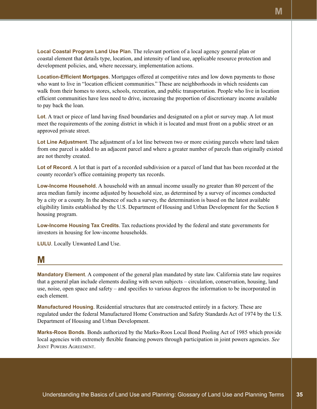**Local Coastal Program Land Use Plan**. The relevant portion of a local agency general plan or coastal element that details type, location, and intensity of land use, applicable resource protection and development policies, and, where necessary, implementation actions.

**Location-Efficient Mortgages**. Mortgages offered at competitive rates and low down payments to those who want to live in "location efficient communities." These are neighborhoods in which residents can walk from their homes to stores, schools, recreation, and public transportation. People who live in location efficient communities have less need to drive, increasing the proportion of discretionary income available to pay back the loan.

**Lot**. A tract or piece of land having fixed boundaries and designated on a plot or survey map. A lot must meet the requirements of the zoning district in which it is located and must front on a public street or an approved private street.

**Lot Line Adjustment**. The adjustment of a lot line between two or more existing parcels where land taken from one parcel is added to an adjacent parcel and where a greater number of parcels than originally existed are not thereby created.

**Lot of Record**. A lot that is part of a recorded subdivision or a parcel of land that has been recorded at the county recorder's office containing property tax records.

**Low-Income Household**. A household with an annual income usually no greater than 80 percent of the area median family income adjusted by household size, as determined by a survey of incomes conducted by a city or a county. In the absence of such a survey, the determination is based on the latest available eligibility limits established by the U.S. Department of Housing and Urban Development for the Section 8 housing program.

**Low-Income Housing Tax Credits**. Tax reductions provided by the federal and state governments for investors in housing for low-income households.

**LULU**. Locally Unwanted Land Use.

#### **M**

**Mandatory Element**. A component of the general plan mandated by state law. California state law requires that a general plan include elements dealing with seven subjects – circulation, conservation, housing, land use, noise, open space and safety – and specifies to various degrees the information to be incorporated in each element.

**Manufactured Housing**. Residential structures that are constructed entirely in a factory. These are regulated under the federal Manufactured Home Construction and Safety Standards Act of 1974 by the U.S. Department of Housing and Urban Development.

**Marks-Roos Bonds**. Bonds authorized by the Marks-Roos Local Bond Pooling Act of 1985 which provide local agencies with extremely flexible financing powers through participation in joint powers agencies. *See* JOINT POWERS AGREEMENT.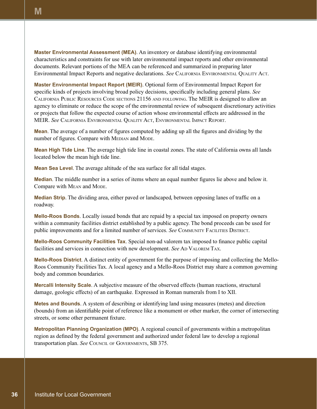**Master Environmental Assessment (MEA)**. An inventory or database identifying environmental characteristics and constraints for use with later environmental impact reports and other environmental documents. Relevant portions of the MEA can be referenced and summarized in preparing later Environmental Impact Reports and negative declarations. *See* California Environmental Quality Act.

**Master Environmental Impact Report (MEIR)**. Optional form of Environmental Impact Report for specific kinds of projects involving broad policy decisions, specifically including general plans. *See* California Public Resources Code sections 21156 and following. The MEIR is designed to allow an agency to eliminate or reduce the scope of the environmental review of subsequent discretionary activities or projects that follow the expected course of action whose environmental effects are addressed in the MEIR. *See* California Environmental Quality Act, Environmental Impact Report.

**Mean**. The average of a number of figures computed by adding up all the figures and dividing by the number of figures. Compare with MEDIAN and MODE.

**Mean High Tide Line**. The average high tide line in coastal zones. The state of California owns all lands located below the mean high tide line.

**Mean Sea Level**. The average altitude of the sea surface for all tidal stages.

**Median**. The middle number in a series of items where an equal number figures lie above and below it. Compare with MEAN and MODE.

**Median Strip**. The dividing area, either paved or landscaped, between opposing lanes of traffic on a roadway.

**Mello-Roos Bonds**. Locally issued bonds that are repaid by a special tax imposed on property owners within a community facilities district established by a public agency. The bond proceeds can be used for public improvements and for a limited number of services. *See* COMMUNITY FACILITIES DISTRICT.

**Mello-Roos Community Facilities Tax**. Special non-ad valorem tax imposed to finance public capital facilities and services in connection with new development. *See* AD VALOREM TAX.

**Mello-Roos District**. A distinct entity of government for the purpose of imposing and collecting the Mello-Roos Community Facilities Tax. A local agency and a Mello-Roos District may share a common governing body and common boundaries.

**Mercalli Intensity Scale**. A subjective measure of the observed effects (human reactions, structural damage, geologic effects) of an earthquake. Expressed in Roman numerals from I to XII.

**Metes and Bounds**. A system of describing or identifying land using measures (metes) and direction (bounds) from an identifiable point of reference like a monument or other marker, the corner of intersecting streets, or some other permanent fixture.

**Metropolitan Planning Organization (MPO)**. A regional council of governments within a metropolitan region as defined by the federal government and authorized under federal law to develop a regional transportation plan. *See* COUNCIL OF GOVERNMENTS, SB 375.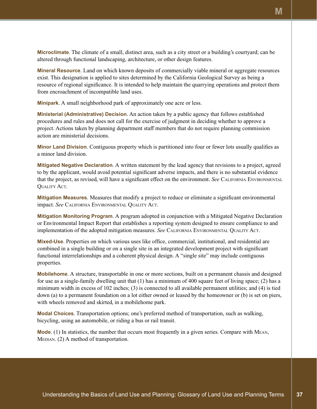**Microclimate**. The climate of a small, distinct area, such as a city street or a building's courtyard; can be altered through functional landscaping, architecture, or other design features.

**Mineral Resource**. Land on which known deposits of commercially viable mineral or aggregate resources exist. This designation is applied to sites determined by the California Geological Survey as being a resource of regional significance. It is intended to help maintain the quarrying operations and protect them from encroachment of incompatible land uses.

**Minipark**. A small neighborhood park of approximately one acre or less.

**Ministerial (Administrative) Decision**. An action taken by a public agency that follows established procedures and rules and does not call for the exercise of judgment in deciding whether to approve a project. Actions taken by planning department staff members that do not require planning commission action are ministerial decisions.

**Minor Land Division**. Contiguous property which is partitioned into four or fewer lots usually qualifies as a minor land division.

**Mitigated Negative Declaration**. A written statement by the lead agency that revisions to a project, agreed to by the applicant, would avoid potential significant adverse impacts, and there is no substantial evidence that the project, as revised, will have a significant effect on the environment. *See* California Environmental QUALITY ACT.

**Mitigation Measures**. Measures that modify a project to reduce or eliminate a significant environmental impact. *See* California Environmental Quality Act.

**Mitigation Monitoring Program**. A program adopted in conjunction with a Mitigated Negative Declaration or Environmental Impact Report that establishes a reporting system designed to ensure compliance to and implementation of the adopted mitigation measures. *See* California Environmental Quality Act.

**Mixed-Use**. Properties on which various uses like office, commercial, institutional, and residential are combined in a single building or on a single site in an integrated development project with significant functional interrelationships and a coherent physical design. A "single site" may include contiguous properties.

**Mobilehome**. A structure, transportable in one or more sections, built on a permanent chassis and designed for use as a single-family dwelling unit that (1) has a minimum of 400 square feet of living space; (2) has a minimum width in excess of 102 inches; (3) is connected to all available permanent utilities; and (4) is tied down (a) to a permanent foundation on a lot either owned or leased by the homeowner or (b) is set on piers, with wheels removed and skirted, in a mobilehome park.

**Modal Choices**. Transportation options; one's preferred method of transportation, such as walking, bicycling, using an automobile, or riding a bus or rail transit.

**Mode**. (1) In statistics, the number that occurs most frequently in a given series. Compare with Mean, MEDIAN. (2) A method of transportation.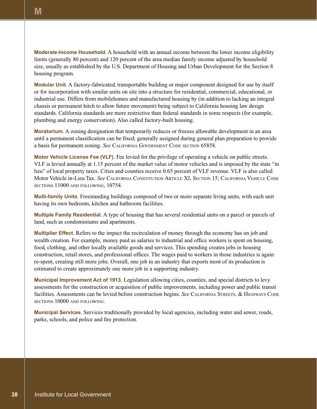**Moderate-Income Household**. A household with an annual income between the lower income eligibility limits (generally 80 percent) and 120 percent of the area median family income adjusted by household size, usually as established by the U.S. Department of Housing and Urban Development for the Section 8 housing program.

**Modular Unit**. A factory-fabricated, transportable building or major component designed for use by itself or for incorporation with similar units on site into a structure for residential, commercial, educational, or industrial use. Differs from mobilehomes and manufactured housing by (in addition to lacking an integral chassis or permanent hitch to allow future movement) being subject to California housing law design standards. California standards are more restrictive than federal standards in some respects (for example, plumbing and energy conservation). Also called factory-built housing.

**Moratorium**. A zoning designation that temporarily reduces or freezes allowable development in an area until a permanent classification can be fixed; generally assigned during general plan preparation to provide a basis for permanent zoning. *See* CALIFORNIA GOVERNMENT CODE SECTION 65858.

**Motor Vehicle License Fee (VLF)**. Fee levied for the privilege of operating a vehicle on public streets. VLF is levied annually at 1.15 percent of the market value of motor vehicles and is imposed by the state "in lieu" of local property taxes. Cities and counties receive 0.65 percent of VLF revenue. VLF is also called Motor Vehicle in-Lieu Tax. *See* California Constitution Article XI, Section 15; California Vehicle Code sections 11000 and following, 10754.

**Multi-family Units**. Freestanding buildings composed of two or more separate living units, with each unit having its own bedroom, kitchen and bathroom facilities.

**Multiple Family Residential**. A type of housing that has several residential units on a parcel or parcels of land, such as condominiums and apartments.

**Multiplier Effect**. Refers to the impact the recirculation of money through the economy has on job and wealth creation. For example, money paid as salaries to industrial and office workers is spent on housing, food, clothing, and other locally available goods and services. This spending creates jobs in housing construction, retail stores, and professional offices. The wages paid to workers in those industries is again re-spent, creating still more jobs. Overall, one job in an industry that exports most of its production is estimated to create approximately one more job in a supporting industry.

**Municipal Improvement Act of 1913**. Legislation allowing cities, counties, and special districts to levy assessments for the construction or acquisition of public improvements, including power and public transit facilities. Assessments can be levied before construction begins. *See* CALIFORNIA STREETS. & HIGHWAYS CODE sections 10000 and following.

**Municipal Services**. Services traditionally provided by local agencies, including water and sewer, roads, parks, schools, and police and fire protection.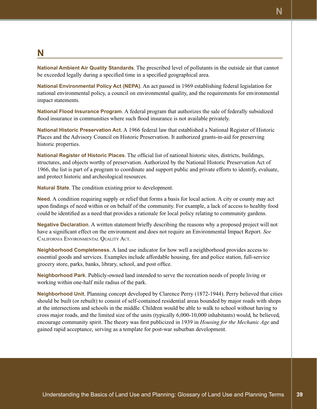#### **N**

**National Ambient Air Quality Standards**. The prescribed level of pollutants in the outside air that cannot be exceeded legally during a specified time in a specified geographical area.

**National Environmental Policy Act (NEPA)**. An act passed in 1969 establishing federal legislation for national environmental policy, a council on environmental quality, and the requirements for environmental impact statements.

**National Flood Insurance Program**. A federal program that authorizes the sale of federally subsidized flood insurance in communities where such flood insurance is not available privately.

**National Historic Preservation Act**. A 1966 federal law that established a National Register of Historic Places and the Advisory Council on Historic Preservation. It authorized grants-in-aid for preserving historic properties.

**National Register of Historic Places**. The official list of national historic sites, districts, buildings, structures, and objects worthy of preservation. Authorized by the National Historic Preservation Act of 1966, the list is part of a program to coordinate and support public and private efforts to identify, evaluate, and protect historic and archeological resources.

**Natural State**. The condition existing prior to development.

**Need**. A condition requiring supply or relief that forms a basis for local action. A city or county may act upon findings of need within or on behalf of the community. For example, a lack of access to healthy food could be identified as a need that provides a rationale for local policy relating to community gardens.

**Negative Declaration**. A written statement briefly describing the reasons why a proposed project will not have a significant effect on the environment and does not require an Environmental Impact Report. *See* California Environmental Quality Act.

**Neighborhood Completeness**. A land use indicator for how well a neighborhood provides access to essential goods and services. Examples include affordable housing, fire and police station, full-service grocery store, parks, banks, library, school, and post office.

**Neighborhood Park**. Publicly-owned land intended to serve the recreation needs of people living or working within one-half mile radius of the park.

**Neighborhood Unit**. Planning concept developed by Clarence Perry (1872-1944). Perry believed that cities should be built (or rebuilt) to consist of self-contained residential areas bounded by major roads with shops at the intersections and schools in the middle. Children would be able to walk to school without having to cross major roads, and the limited size of the units (typically 6,000-10,000 inhabitants) would, he believed, encourage community spirit. The theory was first publicized in 1939 in *Housing for the Mechanic Age* and gained rapid acceptance, serving as a template for post-war suburban development.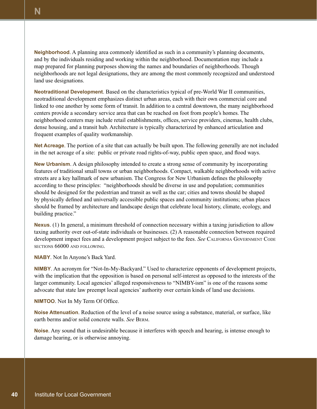**Neighborhood**. A planning area commonly identified as such in a community's planning documents, and by the individuals residing and working within the neighborhood. Documentation may include a map prepared for planning purposes showing the names and boundaries of neighborhoods. Though neighborhoods are not legal designations, they are among the most commonly recognized and understood land use designations.

**Neotraditional Development**. Based on the characteristics typical of pre-World War II communities, neotraditional development emphasizes distinct urban areas, each with their own commercial core and linked to one another by some form of transit. In addition to a central downtown, the many neighborhood centers provide a secondary service area that can be reached on foot from people's homes. The neighborhood centers may include retail establishments, offices, service providers, cinemas, health clubs, dense housing, and a transit hub. Architecture is typically characterized by enhanced articulation and frequent examples of quality workmanship.

**Net Acreage**. The portion of a site that can actually be built upon. The following generally are not included in the net acreage of a site: public or private road rights-of-way, public open space, and flood ways.

**New Urbanism**. A design philosophy intended to create a strong sense of community by incorporating features of traditional small towns or urban neighborhoods. Compact, walkable neighborhoods with active streets are a key hallmark of new urbanism. The Congress for New Urbanism defines the philosophy according to these principles: "neighborhoods should be diverse in use and population; communities should be designed for the pedestrian and transit as well as the car; cities and towns should be shaped by physically defined and universally accessible public spaces and community institutions; urban places should be framed by architecture and landscape design that celebrate local history, climate, ecology, and building practice."

**Nexus**. (1) In general, a minimum threshold of connection necessary within a taxing jurisdiction to allow taxing authority over out-of-state individuals or businesses. (2) A reasonable connection between required development impact fees and a development project subject to the fees. *See* CALIFORNIA GOVERNMENT CODE sections 66000 and following.

**NIABY**. Not In Anyone's Back Yard.

**NIMBY**. An acronym for "Not-In-My-Backyard." Used to characterize opponents of development projects, with the implication that the opposition is based on personal self-interest as opposed to the interests of the larger community. Local agencies' alleged responsiveness to "NIMBY-ism" is one of the reasons some advocate that state law preempt local agencies' authority over certain kinds of land use decisions.

**NIMTOO**. Not In My Term Of Office.

**Noise Attenuation**. Reduction of the level of a noise source using a substance, material, or surface, like earth berms and/or solid concrete walls. *See* Berm.

**Noise**. Any sound that is undesirable because it interferes with speech and hearing, is intense enough to damage hearing, or is otherwise annoying.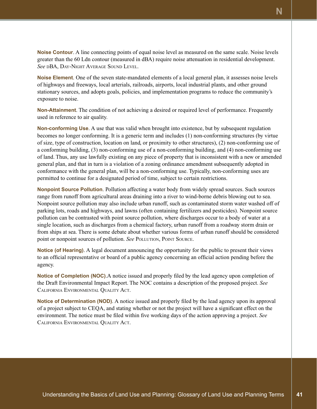**Noise Contour**. A line connecting points of equal noise level as measured on the same scale. Noise levels greater than the 60 Ldn contour (measured in dBA) require noise attenuation in residential development. *See* dBA, Day-Night Average Sound Level.

**Noise Element**. One of the seven state-mandated elements of a local general plan, it assesses noise levels of highways and freeways, local arterials, railroads, airports, local industrial plants, and other ground stationary sources, and adopts goals, policies, and implementation programs to reduce the community's exposure to noise.

**Non-Attainment**. The condition of not achieving a desired or required level of performance. Frequently used in reference to air quality.

**Non-conforming Use**. A use that was valid when brought into existence, but by subsequent regulation becomes no longer conforming. It is a generic term and includes (1) non-conforming structures (by virtue of size, type of construction, location on land, or proximity to other structures), (2) non-conforming use of a conforming building, (3) non-conforming use of a non-conforming building, and (4) non-conforming use of land. Thus, any use lawfully existing on any piece of property that is inconsistent with a new or amended general plan, and that in turn is a violation of a zoning ordinance amendment subsequently adopted in conformance with the general plan, will be a non-conforming use. Typically, non-conforming uses are permitted to continue for a designated period of time, subject to certain restrictions.

**Nonpoint Source Pollution**. Pollution affecting a water body from widely spread sources. Such sources range from runoff from agricultural areas draining into a river to wind-borne debris blowing out to sea. Nonpoint source pollution may also include urban runoff, such as contaminated storm water washed off of parking lots, roads and highways, and lawns (often containing fertilizers and pesticides). Nonpoint source pollution can be contrasted with point source pollution, where discharges occur to a body of water at a single location, such as discharges from a chemical factory, urban runoff from a roadway storm drain or from ships at sea. There is some debate about whether various forms of urban runoff should be considered point or nonpoint sources of pollution. *See* POLLUTION, POINT SOURCE.

**Notice (of Hearing)**. A legal document announcing the opportunity for the public to present their views to an official representative or board of a public agency concerning an official action pending before the agency.

**Notice of Completion (NOC)**.A notice issued and properly filed by the lead agency upon completion of the Draft Environmental Impact Report. The NOC contains a description of the proposed project. *See* California Environmental Quality Act.

**Notice of Determination (NOD)**. A notice issued and properly filed by the lead agency upon its approval of a project subject to CEQA, and stating whether or not the project will have a significant effect on the environment. The notice must be filed within five working days of the action approving a project. *See* California Environmental Quality Act.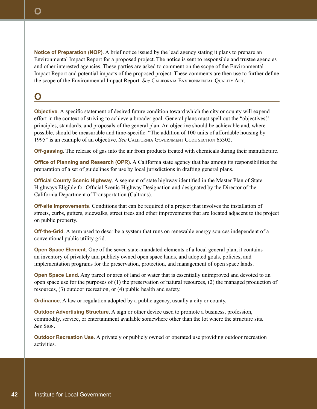**Notice of Preparation (NOP)**. A brief notice issued by the lead agency stating it plans to prepare an Environmental Impact Report for a proposed project. The notice is sent to responsible and trustee agencies and other interested agencies. These parties are asked to comment on the scope of the Environmental Impact Report and potential impacts of the proposed project. These comments are then use to further define the scope of the Environmental Impact Report. *See* California Environmental Quality Act.

### **O**

**Objective**. A specific statement of desired future condition toward which the city or county will expend effort in the context of striving to achieve a broader goal. General plans must spell out the "objectives," principles, standards, and proposals of the general plan. An objective should be achievable and, where possible, should be measurable and time-specific. "The addition of 100 units of affordable housing by 1995" is an example of an objective. *See* CALIFORNIA GOVERNMENT CODE SECTION 65302.

**Off-gassing**. The release of gas into the air from products treated with chemicals during their manufacture.

**Office of Planning and Research (OPR)**. A California state agency that has among its responsibilities the preparation of a set of guidelines for use by local jurisdictions in drafting general plans.

**Official County Scenic Highway**. A segment of state highway identified in the Master Plan of State Highways Eligible for Official Scenic Highway Designation and designated by the Director of the California Department of Transportation (Caltrans).

**Off-site Improvements**. Conditions that can be required of a project that involves the installation of streets, curbs, gutters, sidewalks, street trees and other improvements that are located adjacent to the project on public property.

**Off-the-Grid.** A term used to describe a system that runs on renewable energy sources independent of a conventional public utility grid.

**Open Space Element**. One of the seven state-mandated elements of a local general plan, it contains an inventory of privately and publicly owned open space lands, and adopted goals, policies, and implementation programs for the preservation, protection, and management of open space lands.

**Open Space Land.** Any parcel or area of land or water that is essentially unimproved and devoted to an open space use for the purposes of  $(1)$  the preservation of natural resources,  $(2)$  the managed production of resources, (3) outdoor recreation, or (4) public health and safety.

**Ordinance**. A law or regulation adopted by a public agency, usually a city or county.

**Outdoor Advertising Structure**. A sign or other device used to promote a business, profession, commodity, service, or entertainment available somewhere other than the lot where the structure sits. *See* Sign.

**Outdoor Recreation Use**. A privately or publicly owned or operated use providing outdoor recreation activities.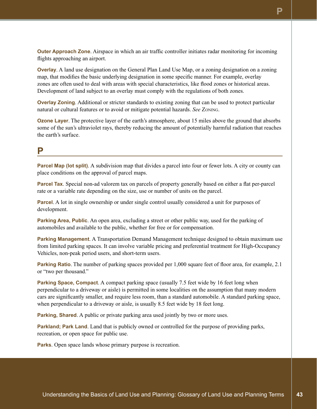**Outer Approach Zone.** Airspace in which an air traffic controller initiates radar monitoring for incoming flights approaching an airport.

**Overlay.** A land use designation on the General Plan Land Use Map, or a zoning designation on a zoning map, that modifies the basic underlying designation in some specific manner. For example, overlay zones are often used to deal with areas with special characteristics, like flood zones or historical areas. Development of land subject to an overlay must comply with the regulations of both zones.

**Overlay Zoning**. Additional or stricter standards to existing zoning that can be used to protect particular natural or cultural features or to avoid or mitigate potential hazards. *See* Zoning.

**Ozone Layer**. The protective layer of the earth's atmosphere, about 15 miles above the ground that absorbs some of the sun's ultraviolet rays, thereby reducing the amount of potentially harmful radiation that reaches the earth's surface.

#### **P**

**Parcel Map (lot split)**. A subdivision map that divides a parcel into four or fewer lots. A city or county can place conditions on the approval of parcel maps.

**Parcel Tax**. Special non-ad valorem tax on parcels of property generally based on either a flat per-parcel rate or a variable rate depending on the size, use or number of units on the parcel.

**Parcel**. A lot in single ownership or under single control usually considered a unit for purposes of development.

**Parking Area, Public**. An open area, excluding a street or other public way, used for the parking of automobiles and available to the public, whether for free or for compensation.

**Parking Management**. A Transportation Demand Management technique designed to obtain maximum use from limited parking spaces. It can involve variable pricing and preferential treatment for High-Occupancy Vehicles, non-peak period users, and short-term users.

**Parking Ratio**. The number of parking spaces provided per 1,000 square feet of floor area, for example, 2.1 or "two per thousand."

**Parking Space, Compact**. A compact parking space (usually 7.5 feet wide by 16 feet long when perpendicular to a driveway or aisle) is permitted in some localities on the assumption that many modern cars are significantly smaller, and require less room, than a standard automobile. A standard parking space, when perpendicular to a driveway or aisle, is usually 8.5 feet wide by 18 feet long.

**Parking, Shared**. A public or private parking area used jointly by two or more uses.

**Parkland; Park Land**. Land that is publicly owned or controlled for the purpose of providing parks, recreation, or open space for public use.

**Parks**. Open space lands whose primary purpose is recreation.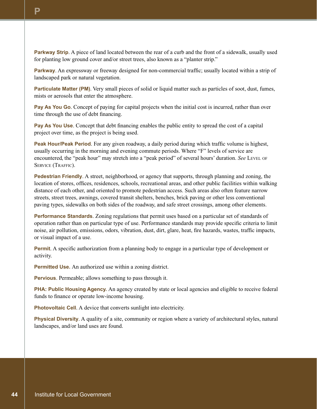**Parkway Strip.** A piece of land located between the rear of a curb and the front of a sidewalk, usually used for planting low ground cover and/or street trees, also known as a "planter strip."

**Parkway**. An expressway or freeway designed for non-commercial traffic; usually located within a strip of landscaped park or natural vegetation.

**Particulate Matter (PM).** Very small pieces of solid or liquid matter such as particles of soot, dust, fumes, mists or aerosols that enter the atmosphere.

**Pay As You Go.** Concept of paying for capital projects when the initial cost is incurred, rather than over time through the use of debt financing.

**Pay As You Use**. Concept that debt financing enables the public entity to spread the cost of a capital project over time, as the project is being used.

**Peak Hour/Peak Period**. For any given roadway, a daily period during which traffic volume is highest, usually occurring in the morning and evening commute periods. Where "F" levels of service are encountered, the "peak hour" may stretch into a "peak period" of several hours' duration. *See* Level of SERVICE (TRAFFIC).

**Pedestrian Friendly**. A street, neighborhood, or agency that supports, through planning and zoning, the location of stores, offices, residences, schools, recreational areas, and other public facilities within walking distance of each other, and oriented to promote pedestrian access. Such areas also often feature narrow streets, street trees, awnings, covered transit shelters, benches, brick paving or other less conventional paving types, sidewalks on both sides of the roadway, and safe street crossings, among other elements.

**Performance Standards**. Zoning regulations that permit uses based on a particular set of standards of operation rather than on particular type of use. Performance standards may provide specific criteria to limit noise, air pollution, emissions, odors, vibration, dust, dirt, glare, heat, fire hazards, wastes, traffic impacts, or visual impact of a use.

**Permit**. A specific authorization from a planning body to engage in a particular type of development or activity.

**Permitted Use.** An authorized use within a zoning district.

**Pervious**. Permeable; allows something to pass through it.

**PHA: Public Housing Agency.** An agency created by state or local agencies and eligible to receive federal funds to finance or operate low-income housing.

**Photovoltaic Cell**. A device that converts sunlight into electricity.

**Physical Diversity**. A quality of a site, community or region where a variety of architectural styles, natural landscapes, and/or land uses are found.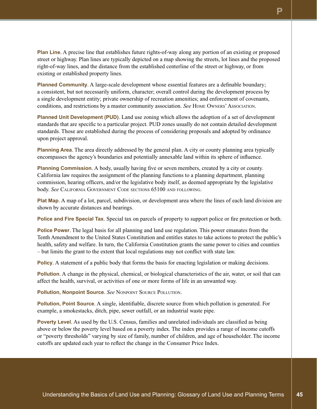**Plan Line**. A precise line that establishes future rights-of-way along any portion of an existing or proposed street or highway. Plan lines are typically depicted on a map showing the streets, lot lines and the proposed right-of-way lines, and the distance from the established centerline of the street or highway, or from existing or established property lines.

**Planned Community**. A large-scale development whose essential features are a definable boundary; a consistent, but not necessarily uniform, character; overall control during the development process by a single development entity; private ownership of recreation amenities; and enforcement of covenants, conditions, and restrictions by a master community association. *See* Home Owners' Association.

**Planned Unit Development (PUD)**. Land use zoning which allows the adoption of a set of development standards that are specific to a particular project. PUD zones usually do not contain detailed development standards. Those are established during the process of considering proposals and adopted by ordinance upon project approval.

**Planning Area**. The area directly addressed by the general plan. A city or county planning area typically encompasses the agency's boundaries and potentially annexable land within its sphere of influence.

**Planning Commission**. A body, usually having five or seven members, created by a city or county. California law requires the assignment of the planning functions to a planning department, planning commission, hearing officers, and/or the legislative body itself, as deemed appropriate by the legislative body. *See* California Government Code sections 65100 and following.

**Plat Map**. A map of a lot, parcel, subdivision, or development area where the lines of each land division are shown by accurate distances and bearings.

**Police and Fire Special Tax**. Special tax on parcels of property to support police or fire protection or both.

**Police Power**. The legal basis for all planning and land use regulation. This power emanates from the Tenth Amendment to the United States Constitution and entitles states to take actions to protect the public's health, safety and welfare. In turn, the California Constitution grants the same power to cities and counties – but limits the grant to the extent that local regulations may not conflict with state law.

**Policy.** A statement of a public body that forms the basis for enacting legislation or making decisions.

**Pollution**. A change in the physical, chemical, or biological characteristics of the air, water, or soil that can affect the health, survival, or activities of one or more forms of life in an unwanted way.

**Pollution, Nonpoint Source**. *See* Nonpoint Source Pollution.

**Pollution, Point Source**. A single, identifiable, discrete source from which pollution is generated. For example, a smokestacks, ditch, pipe, sewer outfall, or an industrial waste pipe.

**Poverty Level.** As used by the U.S. Census, families and unrelated individuals are classified as being above or below the poverty level based on a poverty index. The index provides a range of income cutoffs or "poverty thresholds" varying by size of family, number of children, and age of householder. The income cutoffs are updated each year to reflect the change in the Consumer Price Index.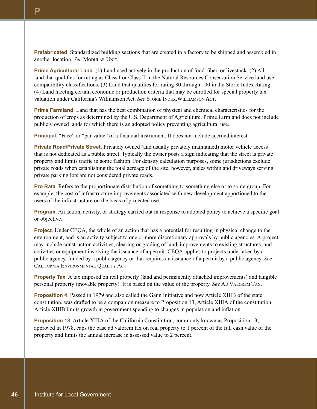**Prefabricated**. Standardized building sections that are created in a factory to be shipped and assembled in another location. See MODULAR UNIT.

**Prime Agricultural Land.** (1) Land used actively in the production of food, fiber, or livestock. (2) All land that qualifies for rating as Class I or Class II in the Natural Resources Conservation Service land use compatibility classifications. (3) Land that qualifies for rating 80 through 100 in the Storie Index Rating. (4) Land meeting certain economic or production criteria that may be enrolled for special property tax valuation under California's Williamson Act. *See* Storie Index,Williamson Act.

**Prime Farmland**. Land that has the best combination of physical and chemical characteristics for the production of crops as determined by the U.S. Department of Agriculture. Prime Farmland does not include publicly owned lands for which there is an adopted policy preventing agricultural use.

**Principal**. "Face" or "par value" of a financial instrument. It does not include accrued interest.

**Private Road/Private Street**. Privately owned (and usually privately maintained) motor vehicle access that is not dedicated as a public street. Typically the owner posts a sign indicating that the street is private property and limits traffic in some fashion. For density calculation purposes, some jurisdictions exclude private roads when establishing the total acreage of the site; however, aisles within and driveways serving private parking lots are not considered private roads.

**Pro Rata**. Refers to the proportionate distribution of something to something else or to some group. For example, the cost of infrastructure improvements associated with new development apportioned to the users of the infrastructure on the basis of projected use.

**Program**. An action, activity, or strategy carried out in response to adopted policy to achieve a specific goal or objective.

**Project**. Under CEQA, the whole of an action that has a potential for resulting in physical change to the environment, and is an activity subject to one or more discretionary approvals by public agencies. A project may include construction activities, clearing or grading of land, improvements to existing structures, and activities or equipment involving the issuance of a permit. CEQA applies to projects undertaken by a public agency, funded by a public agency or that requires an issuance of a permit by a public agency. *See* California Environmental Quality Act.

**Property Tax**. A tax imposed on real property (land and permanently attached improvements) and tangible personal property (movable property). It is based on the value of the property. *See* AD VALOREM TAX.

**Proposition 4**. Passed in 1979 and also called the Gann Initiative and now Article XIIIB of the state constitution, was drafted to be a companion measure to Proposition 13, Article XIIIA of the constitution. Article XIIIB limits growth in government spending to changes in population and inflation.

**Proposition 13**. Article XIIIA of the California Constitution, commonly known as Proposition 13, approved in 1978, caps the base ad valorem tax on real property to 1 percent of the full cash value of the property and limits the annual increase in assessed value to 2 percent.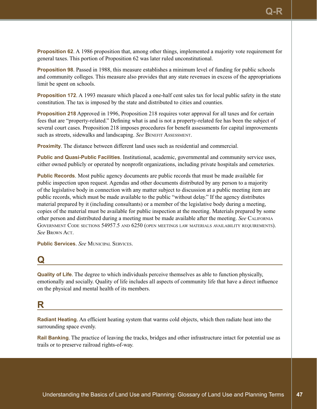**Proposition 62.** A 1986 proposition that, among other things, implemented a majority vote requirement for general taxes. This portion of Proposition 62 was later ruled unconstitutional.

**Proposition 98**. Passed in 1988, this measure establishes a minimum level of funding for public schools and community colleges. This measure also provides that any state revenues in excess of the appropriations limit be spent on schools.

**Proposition 172**. A 1993 measure which placed a one-half cent sales tax for local public safety in the state constitution. The tax is imposed by the state and distributed to cities and counties.

**Proposition 218** Approved in 1996, Proposition 218 requires voter approval for all taxes and for certain fees that are "property-related." Defining what is and is not a property-related fee has been the subject of several court cases. Proposition 218 imposes procedures for benefit assessments for capital improvements such as streets, sidewalks and landscaping. *See* Benefit Assessment.

**Proximity**. The distance between different land uses such as residential and commercial.

**Public and Quasi-Public Facilities**. Institutional, academic, governmental and community service uses, either owned publicly or operated by nonprofit organizations, including private hospitals and cemeteries.

**Public Records**. Most public agency documents are public records that must be made available for public inspection upon request. Agendas and other documents distributed by any person to a majority of the legislative body in connection with any matter subject to discussion at a public meeting item are public records, which must be made available to the public "without delay." If the agency distributes material prepared by it (including consultants) or a member of the legislative body during a meeting, copies of the material must be available for public inspection at the meeting. Materials prepared by some other person and distributed during a meeting must be made available after the meeting. *See* California Government Code sections 54957.5 and 6250 (open meetings law materials availability requirements). *See* Brown Act.

**Public Services**. *See* Municipal Services.

### **Q**

**Quality of Life**. The degree to which individuals perceive themselves as able to function physically, emotionally and socially. Quality of life includes all aspects of community life that have a direct influence on the physical and mental health of its members.

### **R**

**Radiant Heating**. An efficient heating system that warms cold objects, which then radiate heat into the surrounding space evenly.

**Rail Banking**. The practice of leaving the tracks, bridges and other infrastructure intact for potential use as trails or to preserve railroad rights-of-way.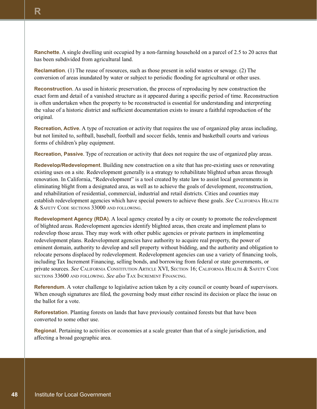**R**

**Ranchette**. A single dwelling unit occupied by a non-farming household on a parcel of 2.5 to 20 acres that has been subdivided from agricultural land.

**Reclamation**. (1) The reuse of resources, such as those present in solid wastes or sewage. (2) The conversion of areas inundated by water or subject to periodic flooding for agricultural or other uses.

**Reconstruction**. As used in historic preservation, the process of reproducing by new construction the exact form and detail of a vanished structure as it appeared during a specific period of time. Reconstruction is often undertaken when the property to be reconstructed is essential for understanding and interpreting the value of a historic district and sufficient documentation exists to insure a faithful reproduction of the original.

**Recreation, Active**. A type of recreation or activity that requires the use of organized play areas including, but not limited to, softball, baseball, football and soccer fields, tennis and basketball courts and various forms of children's play equipment.

**Recreation, Passive**. Type of recreation or activity that does not require the use of organized play areas.

**Redevelop/Redevelopment**. Building new construction on a site that has pre-existing uses or renovating existing uses on a site. Redevelopment generally is a strategy to rehabilitate blighted urban areas through renovation. In California, "Redevelopment" is a tool created by state law to assist local governments in eliminating blight from a designated area, as well as to achieve the goals of development, reconstruction, and rehabilitation of residential, commercial, industrial and retail districts. Cities and counties may establish redevelopment agencies which have special powers to achieve these goals. *See* California Health & Safety Code sections 33000 and following.

**Redevelopment Agency (RDA)**. A local agency created by a city or county to promote the redevelopment of blighted areas. Redevelopment agencies identify blighted areas, then create and implement plans to redevelop those areas. They may work with other public agencies or private partners in implementing redevelopment plans. Redevelopment agencies have authority to acquire real property, the power of eminent domain, authority to develop and sell property without bidding, and the authority and obligation to relocate persons displaced by redevelopment. Redevelopment agencies can use a variety of financing tools, including Tax Increment Financing, selling bonds, and borrowing from federal or state governments, or private sources. *See* California Constitution Article XVI, Section 16; California Health & Safety Code sections 33600 and following. *See also* Tax Increment Financing.

**Referendum**. A voter challenge to legislative action taken by a city council or county board of supervisors. When enough signatures are filed, the governing body must either rescind its decision or place the issue on the ballot for a vote.

**Reforestation**. Planting forests on lands that have previously contained forests but that have been converted to some other use.

**Regional**. Pertaining to activities or economies at a scale greater than that of a single jurisdiction, and affecting a broad geographic area.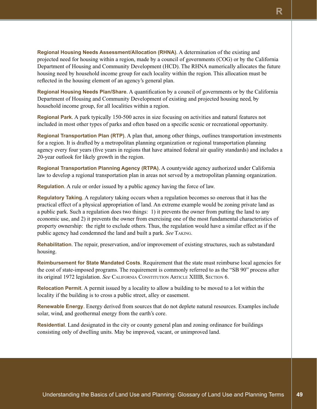**Regional Housing Needs Assessment/Allocation (RHNA)**. A determination of the existing and projected need for housing within a region, made by a council of governments (COG) or by the California Department of Housing and Community Development (HCD). The RHNA numerically allocates the future housing need by household income group for each locality within the region. This allocation must be reflected in the housing element of an agency's general plan.

**Regional Housing Needs Plan/Share**. A quantification by a council of governments or by the California Department of Housing and Community Development of existing and projected housing need, by household income group, for all localities within a region.

**Regional Park**. A park typically 150-500 acres in size focusing on activities and natural features not included in most other types of parks and often based on a specific scenic or recreational opportunity.

**Regional Transportation Plan (RTP)**. A plan that, among other things, outlines transportation investments for a region. It is drafted by a metropolitan planning organization or regional transportation planning agency every four years (five years in regions that have attained federal air quality standards) and includes a 20-year outlook for likely growth in the region.

**Regional Transportation Planning Agency (RTPA)**. A countywide agency authorized under California law to develop a regional transportation plan in areas not served by a metropolitan planning organization.

**Regulation.** A rule or order issued by a public agency having the force of law.

**Regulatory Taking**. A regulatory taking occurs when a regulation becomes so onerous that it has the practical effect of a physical appropriation of land. An extreme example would be zoning private land as a public park. Such a regulation does two things: 1) it prevents the owner from putting the land to any economic use, and 2) it prevents the owner from exercising one of the most fundamental characteristics of property ownership: the right to exclude others. Thus, the regulation would have a similar effect as if the public agency had condemned the land and built a park. *See* Taking.

**Rehabilitation**. The repair, preservation, and/or improvement of existing structures, such as substandard housing.

**Reimbursement for State Mandated Costs**. Requirement that the state must reimburse local agencies for the cost of state-imposed programs. The requirement is commonly referred to as the "SB 90" process after its original 1972 legislation. *See* California Constitution Article XIIIB, Section 6.

**Relocation Permit**. A permit issued by a locality to allow a building to be moved to a lot within the locality if the building is to cross a public street, alley or easement.

**Renewable Energy**. Energy derived from sources that do not deplete natural resources. Examples include solar, wind, and geothermal energy from the earth's core.

**Residential**. Land designated in the city or county general plan and zoning ordinance for buildings consisting only of dwelling units. May be improved, vacant, or unimproved land.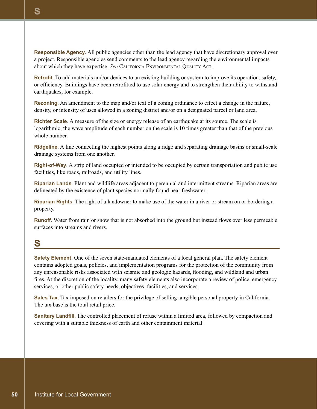**Responsible Agency**. All public agencies other than the lead agency that have discretionary approval over a project. Responsible agencies send comments to the lead agency regarding the environmental impacts about which they have expertise. *See* California Environmental Quality Act.

**Retrofit**. To add materials and/or devices to an existing building or system to improve its operation, safety, or efficiency. Buildings have been retrofitted to use solar energy and to strengthen their ability to withstand earthquakes, for example.

**Rezoning**. An amendment to the map and/or text of a zoning ordinance to effect a change in the nature, density, or intensity of uses allowed in a zoning district and/or on a designated parcel or land area.

**Richter Scale**. A measure of the size or energy release of an earthquake at its source. The scale is logarithmic; the wave amplitude of each number on the scale is 10 times greater than that of the previous whole number.

**Ridgeline**. A line connecting the highest points along a ridge and separating drainage basins or small-scale drainage systems from one another.

**Right-of-Way**. A strip of land occupied or intended to be occupied by certain transportation and public use facilities, like roads, railroads, and utility lines.

**Riparian Lands**. Plant and wildlife areas adjacent to perennial and intermittent streams. Riparian areas are delineated by the existence of plant species normally found near freshwater.

**Riparian Rights**. The right of a landowner to make use of the water in a river or stream on or bordering a property.

**Runoff**. Water from rain or snow that is not absorbed into the ground but instead flows over less permeable surfaces into streams and rivers.

#### **S**

**Safety Element**. One of the seven state-mandated elements of a local general plan. The safety element contains adopted goals, policies, and implementation programs for the protection of the community from any unreasonable risks associated with seismic and geologic hazards, flooding, and wildland and urban fires. At the discretion of the locality, many safety elements also incorporate a review of police, emergency services, or other public safety needs, objectives, facilities, and services.

**Sales Tax**. Tax imposed on retailers for the privilege of selling tangible personal property in California. The tax base is the total retail price.

**Sanitary Landfill**. The controlled placement of refuse within a limited area, followed by compaction and covering with a suitable thickness of earth and other containment material.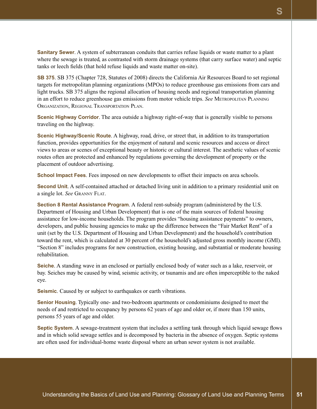**Sanitary Sewer**. A system of subterranean conduits that carries refuse liquids or waste matter to a plant where the sewage is treated, as contrasted with storm drainage systems (that carry surface water) and septic tanks or leech fields (that hold refuse liquids and waste matter on-site).

**SB 375**. SB 375 (Chapter 728, Statutes of 2008) directs the California Air Resources Board to set regional targets for metropolitan planning organizations (MPOs) to reduce greenhouse gas emissions from cars and light trucks. SB 375 aligns the regional allocation of housing needs and regional transportation planning in an effort to reduce greenhouse gas emissions from motor vehicle trips. *See* METROPOLITAN PLANNING Organization, Regional Transportation Plan.

**Scenic Highway Corridor.** The area outside a highway right-of-way that is generally visible to persons traveling on the highway.

**Scenic Highway/Scenic Route**. A highway, road, drive, or street that, in addition to its transportation function, provides opportunities for the enjoyment of natural and scenic resources and access or direct views to areas or scenes of exceptional beauty or historic or cultural interest. The aesthetic values of scenic routes often are protected and enhanced by regulations governing the development of property or the placement of outdoor advertising.

**School Impact Fees**. Fees imposed on new developments to offset their impacts on area schools.

**Second Unit.** A self-contained attached or detached living unit in addition to a primary residential unit on a single lot. *See* Granny Flat.

**Section 8 Rental Assistance Program**. A federal rent-subsidy program (administered by the U.S. Department of Housing and Urban Development) that is one of the main sources of federal housing assistance for low-income households. The program provides "housing assistance payments" to owners, developers, and public housing agencies to make up the difference between the "Fair Market Rent" of a unit (set by the U.S. Department of Housing and Urban Development) and the household's contribution toward the rent, which is calculated at 30 percent of the household's adjusted gross monthly income (GMI). "Section 8" includes programs for new construction, existing housing, and substantial or moderate housing rehabilitation.

**Seiche**. A standing wave in an enclosed or partially enclosed body of water such as a lake, reservoir, or bay. Seiches may be caused by wind, seismic activity, or tsunamis and are often imperceptible to the naked eye.

**Seismic**. Caused by or subject to earthquakes or earth vibrations.

**Senior Housing**. Typically one- and two-bedroom apartments or condominiums designed to meet the needs of and restricted to occupancy by persons 62 years of age and older or, if more than 150 units, persons 55 years of age and older.

**Septic System.** A sewage-treatment system that includes a settling tank through which liquid sewage flows and in which solid sewage settles and is decomposed by bacteria in the absence of oxygen. Septic systems are often used for individual-home waste disposal where an urban sewer system is not available.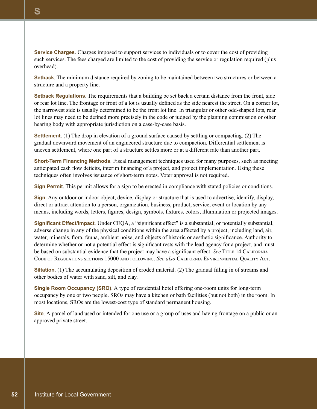**Service Charges**. Charges imposed to support services to individuals or to cover the cost of providing such services. The fees charged are limited to the cost of providing the service or regulation required (plus overhead).

**Setback**. The minimum distance required by zoning to be maintained between two structures or between a structure and a property line.

**Setback Regulations**. The requirements that a building be set back a certain distance from the front, side or rear lot line. The frontage or front of a lot is usually defined as the side nearest the street. On a corner lot, the narrowest side is usually determined to be the front lot line. In triangular or other odd-shaped lots, rear lot lines may need to be defined more precisely in the code or judged by the planning commission or other hearing body with appropriate jurisdiction on a case-by-case basis.

**Settlement**. (1) The drop in elevation of a ground surface caused by settling or compacting. (2) The gradual downward movement of an engineered structure due to compaction. Differential settlement is uneven settlement, where one part of a structure settles more or at a different rate than another part.

**Short-Term Financing Methods**. Fiscal management techniques used for many purposes, such as meeting anticipated cash flow deficits, interim financing of a project, and project implementation. Using these techniques often involves issuance of short-term notes. Voter approval is not required.

**Sign Permit.** This permit allows for a sign to be erected in compliance with stated policies or conditions.

**Sign**. Any outdoor or indoor object, device, display or structure that is used to advertise, identify, display, direct or attract attention to a person, organization, business, product, service, event or location by any means, including words, letters, figures, design, symbols, fixtures, colors, illumination or projected images.

**Significant Effect/Impact**. Under CEQA, a "significant effect" is a substantial, or potentially substantial, adverse change in any of the physical conditions within the area affected by a project, including land, air, water, minerals, flora, fauna, ambient noise, and objects of historic or aesthetic significance. Authority to determine whether or not a potential effect is significant rests with the lead agency for a project, and must be based on substantial evidence that the project may have a significant effect. *See* TITLE 14 CALIFORNIA Code of Regulations sections 15000 and following. *See also* California Environmental Quality Act.

**Siltation**. (1) The accumulating deposition of eroded material. (2) The gradual filling in of streams and other bodies of water with sand, silt, and clay.

**Single Room Occupancy (SRO)**. A type of residential hotel offering one-room units for long-term occupancy by one or two people. SROs may have a kitchen or bath facilities (but not both) in the room. In most locations, SROs are the lowest-cost type of standard permanent housing.

**Site**. A parcel of land used or intended for one use or a group of uses and having frontage on a public or an approved private street.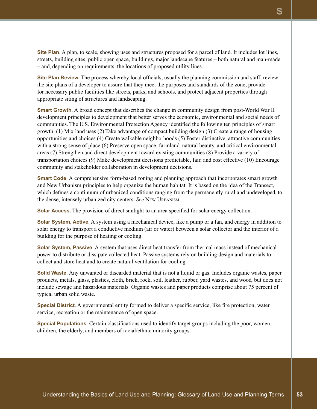**Site Plan.** A plan, to scale, showing uses and structures proposed for a parcel of land. It includes lot lines, streets, building sites, public open space, buildings, major landscape features – both natural and man-made – and, depending on requirements, the locations of proposed utility lines.

**Site Plan Review.** The process whereby local officials, usually the planning commission and staff, review the site plans of a developer to assure that they meet the purposes and standards of the zone, provide for necessary public facilities like streets, parks, and schools, and protect adjacent properties through appropriate siting of structures and landscaping.

**Smart Growth.** A broad concept that describes the change in community design from post-World War II development principles to development that better serves the economic, environmental and social needs of communities. The U.S. Environmental Protection Agency identified the following ten principles of smart growth. (1) Mix land uses (2) Take advantage of compact building design (3) Create a range of housing opportunities and choices (4) Create walkable neighborhoods (5) Foster distinctive, attractive communities with a strong sense of place (6) Preserve open space, farmland, natural beauty, and critical environmental areas (7) Strengthen and direct development toward existing communities (8) Provide a variety of transportation choices (9) Make development decisions predictable, fair, and cost effective (10) Encourage community and stakeholder collaboration in development decisions.

**Smart Code.** A comprehensive form-based zoning and planning approach that incorporates smart growth and New Urbanism principles to help organize the human habitat. It is based on the idea of the Transect, which defines a continuum of urbanized conditions ranging from the permanently rural and undeveloped, to the dense, intensely urbanized city centers. *See* New URBANISM.

**Solar Access**. The provision of direct sunlight to an area specified for solar energy collection.

**Solar System, Active**. A system using a mechanical device, like a pump or a fan, and energy in addition to solar energy to transport a conductive medium (air or water) between a solar collector and the interior of a building for the purpose of heating or cooling.

**Solar System, Passive**. A system that uses direct heat transfer from thermal mass instead of mechanical power to distribute or dissipate collected heat. Passive systems rely on building design and materials to collect and store heat and to create natural ventilation for cooling.

**Solid Waste**. Any unwanted or discarded material that is not a liquid or gas. Includes organic wastes, paper products, metals, glass, plastics, cloth, brick, rock, soil, leather, rubber, yard wastes, and wood, but does not include sewage and hazardous materials. Organic wastes and paper products comprise about 75 percent of typical urban solid waste.

**Special District**. A governmental entity formed to deliver a specific service, like fire protection, water service, recreation or the maintenance of open space.

**Special Populations**. Certain classifications used to identify target groups including the poor, women, children, the elderly, and members of racial/ethnic minority groups.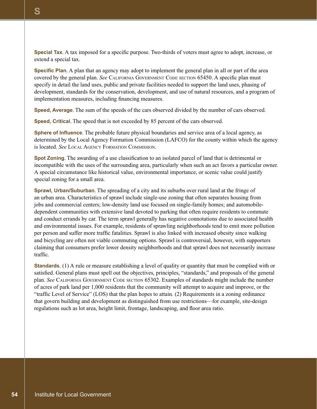**Special Tax.** A tax imposed for a specific purpose. Two-thirds of voters must agree to adopt, increase, or extend a special tax.

**Specific Plan.** A plan that an agency may adopt to implement the general plan in all or part of the area covered by the general plan. *See* CALIFORNIA GOVERNMENT CODE SECTION 65450. A specific plan must specify in detail the land uses, public and private facilities needed to support the land uses, phasing of development, standards for the conservation, development, and use of natural resources, and a program of implementation measures, including financing measures.

**Speed, Average**. The sum of the speeds of the cars observed divided by the number of cars observed.

**Speed, Critical**. The speed that is not exceeded by 85 percent of the cars observed.

**Sphere of Influence**. The probable future physical boundaries and service area of a local agency, as determined by the Local Agency Formation Commission (LAFCO) for the county within which the agency is located. *See* Local Agency Formation Commission.

**Spot Zoning**. The awarding of a use classification to an isolated parcel of land that is detrimental or incompatible with the uses of the surrounding area, particularly when such an act favors a particular owner. A special circumstance like historical value, environmental importance, or scenic value could justify special zoning for a small area.

**Sprawl, Urban/Suburban**. The spreading of a city and its suburbs over rural land at the fringe of an urban area. Characteristics of sprawl include single-use zoning that often separates housing from jobs and commercial centers; low-density land use focused on single-family homes; and automobiledependent communities with extensive land devoted to parking that often require residents to commute and conduct errands by car. The term sprawl generally has negative connotations due to associated health and environmental issues. For example, residents of sprawling neighborhoods tend to emit more pollution per person and suffer more traffic fatalities. Sprawl is also linked with increased obesity since walking and bicycling are often not viable commuting options. Sprawl is controversial, however, with supporters claiming that consumers prefer lower density neighborhoods and that sprawl does not necessarily increase traffic.

**Standards**. (1) A rule or measure establishing a level of quality or quantity that must be complied with or satisfied. General plans must spell out the objectives, principles, "standards," and proposals of the general plan. *See* CALIFORNIA GOVERNMENT CODE SECTION 65302. Examples of standards might include the number of acres of park land per 1,000 residents that the community will attempt to acquire and improve, or the "traffic Level of Service" (LOS) that the plan hopes to attain. (2) Requirements in a zoning ordinance that govern building and development as distinguished from use restrictions—for example, site-design regulations such as lot area, height limit, frontage, landscaping, and floor area ratio.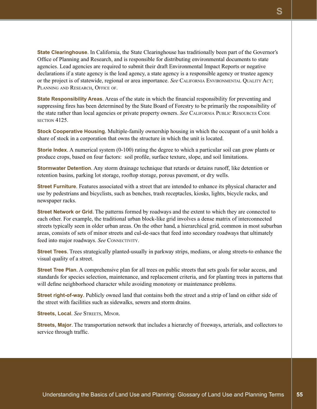**State Clearinghouse**. In California, the State Clearinghouse has traditionally been part of the Governor's Office of Planning and Research, and is responsible for distributing environmental documents to state agencies. Lead agencies are required to submit their draft Environmental Impact Reports or negative declarations if a state agency is the lead agency, a state agency is a responsible agency or trustee agency or the project is of statewide, regional or area importance. *See* California Environmental Quality Act; PLANNING AND RESEARCH, OFFICE OF.

**State Responsibility Areas**. Areas of the state in which the financial responsibility for preventing and suppressing fires has been determined by the State Board of Forestry to be primarily the responsibility of the state rather than local agencies or private property owners. *See* California Public Resources Code section 4125.

**Stock Cooperative Housing**. Multiple-family ownership housing in which the occupant of a unit holds a share of stock in a corporation that owns the structure in which the unit is located.

**Storie Index**. A numerical system (0-100) rating the degree to which a particular soil can grow plants or produce crops, based on four factors: soil profile, surface texture, slope, and soil limitations.

**Stormwater Detention**. Any storm drainage technique that retards or detains runoff, like detention or retention basins, parking lot storage, rooftop storage, porous pavement, or dry wells.

**Street Furniture**. Features associated with a street that are intended to enhance its physical character and use by pedestrians and bicyclists, such as benches, trash receptacles, kiosks, lights, bicycle racks, and newspaper racks.

**Street Network or Grid.** The patterns formed by roadways and the extent to which they are connected to each other. For example, the traditional urban block-like grid involves a dense matrix of interconnected streets typically seen in older urban areas. On the other hand, a hierarchical grid, common in most suburban areas, consists of sets of minor streets and cul-de-sacs that feed into secondary roadways that ultimately feed into major roadways. See CONNECTIVITY.

**Street Trees**. Trees strategically planted-usually in parkway strips, medians, or along streets-to enhance the visual quality of a street.

**Street Tree Plan.** A comprehensive plan for all trees on public streets that sets goals for solar access, and standards for species selection, maintenance, and replacement criteria, and for planting trees in patterns that will define neighborhood character while avoiding monotony or maintenance problems.

**Street right-of-way**. Publicly owned land that contains both the street and a strip of land on either side of the street with facilities such as sidewalks, sewers and storm drains.

**Streets, Local.** *See* STREETS, MINOR.

**Streets, Major.** The transportation network that includes a hierarchy of freeways, arterials, and collectors to service through traffic.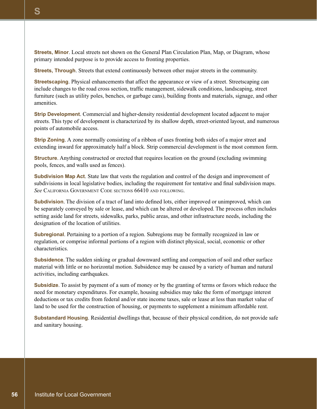**Streets, Minor**. Local streets not shown on the General Plan Circulation Plan, Map, or Diagram, whose primary intended purpose is to provide access to fronting properties.

**Streets, Through**. Streets that extend continuously between other major streets in the community.

**Streetscaping**. Physical enhancements that affect the appearance or view of a street. Streetscaping can include changes to the road cross section, traffic management, sidewalk conditions, landscaping, street furniture (such as utility poles, benches, or garbage cans), building fronts and materials, signage, and other amenities.

**Strip Development.** Commercial and higher-density residential development located adjacent to major streets. This type of development is characterized by its shallow depth, street-oriented layout, and numerous points of automobile access.

**Strip Zoning**. A zone normally consisting of a ribbon of uses fronting both sides of a major street and extending inward for approximately half a block. Strip commercial development is the most common form.

**Structure**. Anything constructed or erected that requires location on the ground (excluding swimming pools, fences, and walls used as fences).

**Subdivision Map Act**. State law that vests the regulation and control of the design and improvement of subdivisions in local legislative bodies, including the requirement for tentative and final subdivision maps. *See* California Government Code sections 66410 and following.

**Subdivision**. The division of a tract of land into defined lots, either improved or unimproved, which can be separately conveyed by sale or lease, and which can be altered or developed. The process often includes setting aside land for streets, sidewalks, parks, public areas, and other infrastructure needs, including the designation of the location of utilities.

**Subregional**. Pertaining to a portion of a region. Subregions may be formally recognized in law or regulation, or comprise informal portions of a region with distinct physical, social, economic or other characteristics.

**Subsidence**. The sudden sinking or gradual downward settling and compaction of soil and other surface material with little or no horizontal motion. Subsidence may be caused by a variety of human and natural activities, including earthquakes.

**Subsidize**. To assist by payment of a sum of money or by the granting of terms or favors which reduce the need for monetary expenditures. For example, housing subsidies may take the form of mortgage interest deductions or tax credits from federal and/or state income taxes, sale or lease at less than market value of land to be used for the construction of housing, or payments to supplement a minimum affordable rent.

**Substandard Housing**. Residential dwellings that, because of their physical condition, do not provide safe and sanitary housing.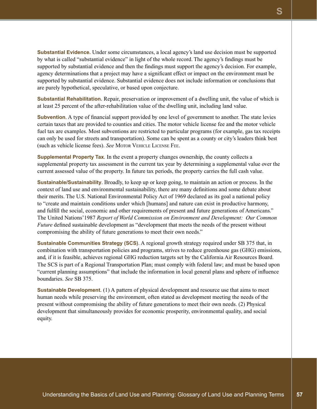**Substantial Evidence.** Under some circumstances, a local agency's land use decision must be supported by what is called "substantial evidence" in light of the whole record. The agency's findings must be supported by substantial evidence and then the findings must support the agency's decision. For example, agency determinations that a project may have a significant effect or impact on the environment must be supported by substantial evidence. Substantial evidence does not include information or conclusions that are purely hypothetical, speculative, or based upon conjecture.

**Substantial Rehabilitation.** Repair, preservation or improvement of a dwelling unit, the value of which is at least 25 percent of the after-rehabilitation value of the dwelling unit, including land value.

**Subvention.** A type of financial support provided by one level of government to another. The state levies certain taxes that are provided to counties and cities. The motor vehicle license fee and the motor vehicle fuel tax are examples. Most subventions are restricted to particular programs (for example, gas tax receipts can only be used for streets and transportation). Some can be spent as a county or city's leaders think best (such as vehicle license fees). *See* Motor Vehicle License Fee.

**Supplemental Property Tax**. In the event a property changes ownership, the county collects a supplemental property tax assessment in the current tax year by determining a supplemental value over the current assessed value of the property. In future tax periods, the property carries the full cash value.

**Sustainable/Sustainability**. Broadly, to keep up or keep going, to maintain an action or process. In the context of land use and environmental sustainability, there are many definitions and some debate about their merits. The U.S. National Environmental Policy Act of 1969 declared as its goal a national policy to "create and maintain conditions under which [humans] and nature can exist in productive harmony, and fulfill the social, economic and other requirements of present and future generations of Americans." The United Nations'1987 *Report of World Commission on Environment and Development: Our Common Future* defined sustainable development as "development that meets the needs of the present without compromising the ability of future generations to meet their own needs."

**Sustainable Communities Strategy (SCS)**. A regional growth strategy required under SB 375 that, in combination with transportation policies and programs, strives to reduce greenhouse gas (GHG) emissions, and, if it is feasible, achieves regional GHG reduction targets set by the California Air Resources Board. The SCS is part of a Regional Transportation Plan; must comply with federal law; and must be based upon "current planning assumptions" that include the information in local general plans and sphere of influence boundaries. *See* SB 375.

**Sustainable Development**. (1) A pattern of physical development and resource use that aims to meet human needs while preserving the environment, often stated as development meeting the needs of the present without compromising the ability of future generations to meet their own needs. (2) Physical development that simultaneously provides for economic prosperity, environmental quality, and social equity.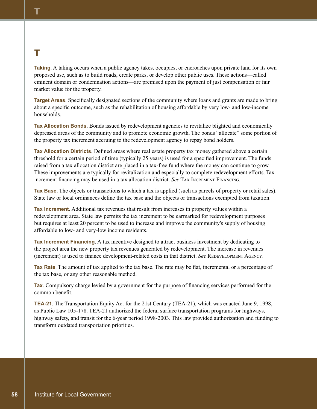### **T**

**Taking**. A taking occurs when a public agency takes, occupies, or encroaches upon private land for its own proposed use, such as to build roads, create parks, or develop other public uses. These actions—called eminent domain or condemnation actions—are premised upon the payment of just compensation or fair market value for the property.

**Target Areas**. Specifically designated sections of the community where loans and grants are made to bring about a specific outcome, such as the rehabilitation of housing affordable by very low- and low-income households.

**Tax Allocation Bonds**. Bonds issued by redevelopment agencies to revitalize blighted and economically depressed areas of the community and to promote economic growth. The bonds "allocate" some portion of the property tax increment accruing to the redevelopment agency to repay bond holders.

**Tax Allocation Districts**. Defined areas where real estate property tax money gathered above a certain threshold for a certain period of time (typically 25 years) is used for a specified improvement. The funds raised from a tax allocation district are placed in a tax-free fund where the money can continue to grow. These improvements are typically for revitalization and especially to complete redevelopment efforts. Tax increment financing may be used in a tax allocation district. *See* Tax Increment Financing.

**Tax Base**. The objects or transactions to which a tax is applied (such as parcels of property or retail sales). State law or local ordinances define the tax base and the objects or transactions exempted from taxation.

**Tax Increment**. Additional tax revenues that result from increases in property values within a redevelopment area. State law permits the tax increment to be earmarked for redevelopment purposes but requires at least 20 percent to be used to increase and improve the community's supply of housing affordable to low- and very-low income residents.

**Tax Increment Financing**. A tax incentive designed to attract business investment by dedicating to the project area the new property tax revenues generated by redevelopment. The increase in revenues (increment) is used to finance development-related costs in that district. See REDEVELOPMENT AGENCY.

**Tax Rate**. The amount of tax applied to the tax base. The rate may be flat, incremental or a percentage of the tax base, or any other reasonable method.

**Tax**. Compulsory charge levied by a government for the purpose of financing services performed for the common benefit.

**TEA-21**. The Transportation Equity Act for the 21st Century (TEA-21), which was enacted June 9, 1998, as Public Law 105-178. TEA-21 authorized the federal surface transportation programs for highways, highway safety, and transit for the 6-year period 1998-2003. This law provided authorization and funding to transform outdated transportation priorities.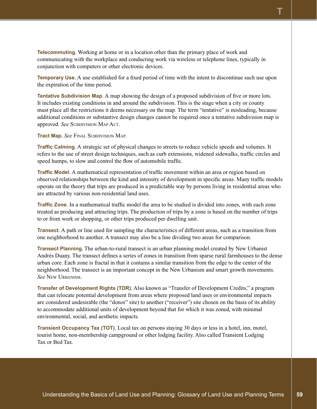**Telecommuting**. Working at home or in a location other than the primary place of work and communicating with the workplace and conducting work via wireless or telephone lines, typically in conjunction with computers or other electronic devices.

**Temporary Use**. A use established for a fixed period of time with the intent to discontinue such use upon the expiration of the time period.

**Tentative Subdivision Map**. A map showing the design of a proposed subdivision of five or more lots. It includes existing conditions in and around the subdivision. This is the stage when a city or county must place all the restrictions it deems necessary on the map. The term "tentative" is misleading, because additional conditions or substantive design changes cannot be required once a tentative subdivision map is approved. See SUBDIVISION MAP ACT.

**Tract Map**. *See* Final Subdivision Map.

**Traffic Calming**. A strategic set of physical changes to streets to reduce vehicle speeds and volumes. It refers to the use of street design techniques, such as curb extensions, widened sidewalks, traffic circles and speed humps, to slow and control the flow of automobile traffic.

**Traffic Model**. A mathematical representation of traffic movement within an area or region based on observed relationships between the kind and intensity of development in specific areas. Many traffic models operate on the theory that trips are produced in a predictable way by persons living in residential areas who are attracted by various non-residential land uses.

**Traffic Zone**. In a mathematical traffic model the area to be studied is divided into zones, with each zone treated as producing and attracting trips. The production of trips by a zone is based on the number of trips to or from work or shopping, or other trips produced per dwelling unit.

**Transect**. A path or line used for sampling the characteristics of different areas, such as a transition from one neighborhood to another. A transect may also be a line dividing two areas for comparison.

**Transect Planning**. The urban-to-rural transect is an urban planning model created by New Urbanist Andrés Duany. The transect defines a series of zones in transition from sparse rural farmhouses to the dense urban core. Each zone is fractal in that it contains a similar transition from the edge to the center of the neighborhood. The transect is an important concept in the New Urbanism and smart growth movements. See New URBANISM.

**Transfer of Development Rights (TDR)**. Also known as "Transfer of Development Credits," a program that can relocate potential development from areas where proposed land uses or environmental impacts are considered undesirable (the "donor" site) to another ("receiver") site chosen on the basis of its ability to accommodate additional units of development beyond that for which it was zoned, with minimal environmental, social, and aesthetic impacts.

**Transient Occupancy Tax (TOT)**. Local tax on persons staying 30 days or less in a hotel, inn, motel, tourist home, non-membership campground or other lodging facility. Also called Transient Lodging Tax or Bed Tax.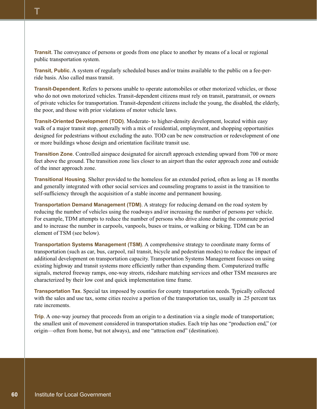**Transit**. The conveyance of persons or goods from one place to another by means of a local or regional public transportation system.

**Transit, Public**. A system of regularly scheduled buses and/or trains available to the public on a fee-perride basis. Also called mass transit.

**Transit-Dependent**. Refers to persons unable to operate automobiles or other motorized vehicles, or those who do not own motorized vehicles. Transit-dependent citizens must rely on transit, paratransit, or owners of private vehicles for transportation. Transit-dependent citizens include the young, the disabled, the elderly, the poor, and those with prior violations of motor vehicle laws.

**Transit-Oriented Development (TOD)**. Moderate- to higher-density development, located within easy walk of a major transit stop, generally with a mix of residential, employment, and shopping opportunities designed for pedestrians without excluding the auto. TOD can be new construction or redevelopment of one or more buildings whose design and orientation facilitate transit use.

**Transition Zone**. Controlled airspace designated for aircraft approach extending upward from 700 or more feet above the ground. The transition zone lies closer to an airport than the outer approach zone and outside of the inner approach zone.

**Transitional Housing**. Shelter provided to the homeless for an extended period, often as long as 18 months and generally integrated with other social services and counseling programs to assist in the transition to self-sufficiency through the acquisition of a stable income and permanent housing.

**Transportation Demand Management (TDM)**. A strategy for reducing demand on the road system by reducing the number of vehicles using the roadways and/or increasing the number of persons per vehicle. For example, TDM attempts to reduce the number of persons who drive alone during the commute period and to increase the number in carpools, vanpools, buses or trains, or walking or biking. TDM can be an element of TSM (see below).

**Transportation Systems Management (TSM)**. A comprehensive strategy to coordinate many forms of transportation (such as car, bus, carpool, rail transit, bicycle and pedestrian modes) to reduce the impact of additional development on transportation capacity. Transportation Systems Management focuses on using existing highway and transit systems more efficiently rather than expanding them. Computerized traffic signals, metered freeway ramps, one-way streets, rideshare matching services and other TSM measures are characterized by their low cost and quick implementation time frame.

**Transportation Tax**. Special tax imposed by counties for county transportation needs. Typically collected with the sales and use tax, some cities receive a portion of the transportation tax, usually in .25 percent tax rate increments.

**Trip**. A one-way journey that proceeds from an origin to a destination via a single mode of transportation; the smallest unit of movement considered in transportation studies. Each trip has one "production end," (or origin—often from home, but not always), and one "attraction end" (destination).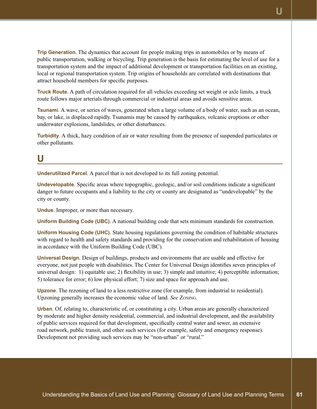**Trip Generation**. The dynamics that account for people making trips in automobiles or by means of public transportation, walking or bicycling. Trip generation is the basis for estimating the level of use for a transportation system and the impact of additional development or transportation facilities on an existing, local or regional transportation system. Trip origins of households are correlated with destinations that attract household members for specific purposes.

**Truck Route**. A path of circulation required for all vehicles exceeding set weight or axle limits, a truck route follows major arterials through commercial or industrial areas and avoids sensitive areas.

**Tsunami**. A wave, or series of waves, generated when a large volume of a body of water, such as an ocean, bay, or lake, is displaced rapidly. Tsunamis may be caused by earthquakes, volcanic eruptions or other underwater explosions, landslides, or other disturbances.

**Turbidity**. A thick, hazy condition of air or water resulting from the presence of suspended particulates or other pollutants.

### **U**

**Underutilized Parcel**. A parcel that is not developed to its full zoning potential.

**Undevelopable**. Specific areas where topographic, geologic, and/or soil conditions indicate a significant danger to future occupants and a liability to the city or county are designated as "undevelopable" by the city or county.

**Undue**. Improper, or more than necessary.

**Uniform Building Code (UBC)**. A national building code that sets minimum standards for construction.

**Uniform Housing Code (UHC)**. State housing regulations governing the condition of habitable structures with regard to health and safety standards and providing for the conservation and rehabilitation of housing in accordance with the Uniform Building Code (UBC).

**Universal Design**. Design of buildings, products and environments that are usable and effective for everyone, not just people with disabilities. The Center for Universal Design identifies seven principles of universal design: 1) equitable use; 2) flexibility in use; 3) simple and intuitive; 4) perceptible information; 5) tolerance for error; 6) low physical effort; 7) size and space for approach and use.

**Upzone**. The rezoning of land to a less restrictive zone (for example, from industrial to residential). Upzoning generally increases the economic value of land. *See* Zoning.

**Urban**. Of, relating to, characteristic of, or constituting a city. Urban areas are generally characterized by moderate and higher density residential, commercial, and industrial development, and the availability of public services required for that development, specifically central water and sewer, an extensive road network, public transit, and other such services (for example, safety and emergency response). Development not providing such services may be "non-urban" or "rural."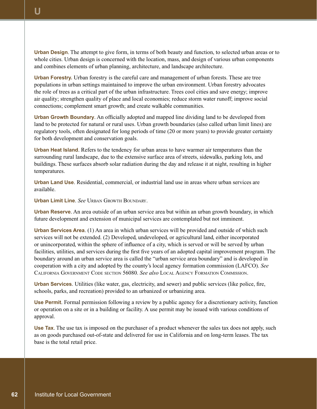**Urban Design**. The attempt to give form, in terms of both beauty and function, to selected urban areas or to whole cities. Urban design is concerned with the location, mass, and design of various urban components and combines elements of urban planning, architecture, and landscape architecture.

**Urban Forestry.** Urban forestry is the careful care and management of urban forests. These are tree populations in urban settings maintained to improve the urban environment. Urban forestry advocates the role of trees as a critical part of the urban infrastructure. Trees cool cities and save energy; improve air quality; strengthen quality of place and local economies; reduce storm water runoff; improve social connections; complement smart growth; and create walkable communities.

**Urban Growth Boundary**. An officially adopted and mapped line dividing land to be developed from land to be protected for natural or rural uses. Urban growth boundaries (also called urban limit lines) are regulatory tools, often designated for long periods of time (20 or more years) to provide greater certainty for both development and conservation goals.

**Urban Heat Island**. Refers to the tendency for urban areas to have warmer air temperatures than the surrounding rural landscape, due to the extensive surface area of streets, sidewalks, parking lots, and buildings. These surfaces absorb solar radiation during the day and release it at night, resulting in higher temperatures.

**Urban Land Use**. Residential, commercial, or industrial land use in areas where urban services are available.

**Urban Limit Line**. *See* URBAN GROWTH BOUNDARY.

**Urban Reserve**. An area outside of an urban service area but within an urban growth boundary, in which future development and extension of municipal services are contemplated but not imminent.

**Urban Services Area**. (1) An area in which urban services will be provided and outside of which such services will not be extended. (2) Developed, undeveloped, or agricultural land, either incorporated or unincorporated, within the sphere of influence of a city, which is served or will be served by urban facilities, utilities, and services during the first five years of an adopted capital improvement program. The boundary around an urban service area is called the "urban service area boundary" and is developed in cooperation with a city and adopted by the county's local agency formation commission (LAFCO). *See* California Government Code section 56080. *See also* Local Agency Formation Commission.

**Urban Services**. Utilities (like water, gas, electricity, and sewer) and public services (like police, fire, schools, parks, and recreation) provided to an urbanized or urbanizing area.

**Use Permit**. Formal permission following a review by a public agency for a discretionary activity, function or operation on a site or in a building or facility. A use permit may be issued with various conditions of approval.

**Use Tax**. The use tax is imposed on the purchaser of a product whenever the sales tax does not apply, such as on goods purchased out-of-state and delivered for use in California and on long-term leases. The tax base is the total retail price.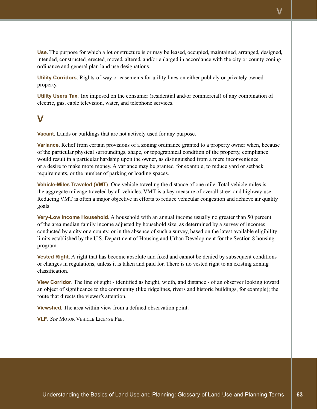**Use**. The purpose for which a lot or structure is or may be leased, occupied, maintained, arranged, designed, intended, constructed, erected, moved, altered, and/or enlarged in accordance with the city or county zoning ordinance and general plan land use designations.

**Utility Corridors**. Rights-of-way or easements for utility lines on either publicly or privately owned property.

**Utility Users Tax**. Tax imposed on the consumer (residential and/or commercial) of any combination of electric, gas, cable television, water, and telephone services.

## **V**

**Vacant**. Lands or buildings that are not actively used for any purpose.

**Variance**. Relief from certain provisions of a zoning ordinance granted to a property owner when, because of the particular physical surroundings, shape, or topographical condition of the property, compliance would result in a particular hardship upon the owner, as distinguished from a mere inconvenience or a desire to make more money. A variance may be granted, for example, to reduce yard or setback requirements, or the number of parking or loading spaces.

**Vehicle-Miles Traveled (VMT)**. One vehicle traveling the distance of one mile. Total vehicle miles is the aggregate mileage traveled by all vehicles. VMT is a key measure of overall street and highway use. Reducing VMT is often a major objective in efforts to reduce vehicular congestion and achieve air quality goals.

**Very-Low Income Household**. A household with an annual income usually no greater than 50 percent of the area median family income adjusted by household size, as determined by a survey of incomes conducted by a city or a county, or in the absence of such a survey, based on the latest available eligibility limits established by the U.S. Department of Housing and Urban Development for the Section 8 housing program.

**Vested Right**. A right that has become absolute and fixed and cannot be denied by subsequent conditions or changes in regulations, unless it is taken and paid for. There is no vested right to an existing zoning classification.

**View Corridor**. The line of sight - identified as height, width, and distance - of an observer looking toward an object of significance to the community (like ridgelines, rivers and historic buildings, for example); the route that directs the viewer's attention.

**Viewshed**. The area within view from a defined observation point.

**VLF**. *See* Motor Vehicle License Fee.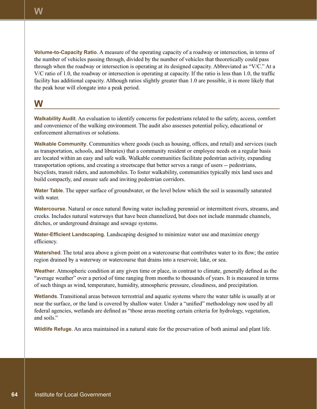**Volume-to-Capacity Ratio**. A measure of the operating capacity of a roadway or intersection, in terms of the number of vehicles passing through, divided by the number of vehicles that theoretically could pass through when the roadway or intersection is operating at its designed capacity. Abbreviated as "V/C." At a V/C ratio of 1.0, the roadway or intersection is operating at capacity. If the ratio is less than 1.0, the traffic facility has additional capacity. Although ratios slightly greater than 1.0 are possible, it is more likely that the peak hour will elongate into a peak period.

### **W**

**Walkability Audit**. An evaluation to identify concerns for pedestrians related to the safety, access, comfort and convenience of the walking environment. The audit also assesses potential policy, educational or enforcement alternatives or solutions.

**Walkable Community**. Communities where goods (such as housing, offices, and retail) and services (such as transportation, schools, and libraries) that a community resident or employee needs on a regular basis are located within an easy and safe walk. Walkable communities facilitate pedestrian activity, expanding transportation options, and creating a streetscape that better serves a range of users -- pedestrians, bicyclists, transit riders, and automobiles. To foster walkability, communities typically mix land uses and build compactly, and ensure safe and inviting pedestrian corridors.

**Water Table**. The upper surface of groundwater, or the level below which the soil is seasonally saturated with water.

**Watercourse**. Natural or once natural flowing water including perennial or intermittent rivers, streams, and creeks. Includes natural waterways that have been channelized, but does not include manmade channels, ditches, or underground drainage and sewage systems.

**Water-Efficient Landscaping**. Landscaping designed to minimize water use and maximize energy efficiency.

**Watershed**. The total area above a given point on a watercourse that contributes water to its flow; the entire region drained by a waterway or watercourse that drains into a reservoir, lake, or sea.

**Weather**. Atmospheric condition at any given time or place, in contrast to climate, generally defined as the "average weather" over a period of time ranging from months to thousands of years. It is measured in terms of such things as wind, temperature, humidity, atmospheric pressure, cloudiness, and precipitation.

**Wetlands**. Transitional areas between terrestrial and aquatic systems where the water table is usually at or near the surface, or the land is covered by shallow water. Under a "unified" methodology now used by all federal agencies, wetlands are defined as "those areas meeting certain criteria for hydrology, vegetation, and soils."

**Wildlife Refuge**. An area maintained in a natural state for the preservation of both animal and plant life.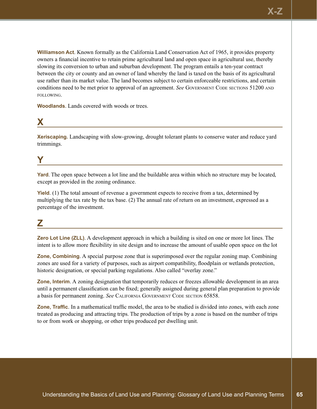**Williamson Act**. Known formally as the California Land Conservation Act of 1965, it provides property owners a financial incentive to retain prime agricultural land and open space in agricultural use, thereby slowing its conversion to urban and suburban development. The program entails a ten-year contract between the city or county and an owner of land whereby the land is taxed on the basis of its agricultural use rather than its market value. The land becomes subject to certain enforceable restrictions, and certain conditions need to be met prior to approval of an agreement. *See* Government Code sections 51200 AND following.

**Woodlands**. Lands covered with woods or trees.

## **X**

**Xeriscaping.** Landscaping with slow-growing, drought tolerant plants to conserve water and reduce yard trimmings.

## **Y**

**Yard**. The open space between a lot line and the buildable area within which no structure may be located, except as provided in the zoning ordinance.

**Yield.** (1) The total amount of revenue a government expects to receive from a tax, determined by multiplying the tax rate by the tax base. (2) The annual rate of return on an investment, expressed as a percentage of the investment.

# **Z**

**Zero Lot Line (ZLL)**. A development approach in which a building is sited on one or more lot lines. The intent is to allow more flexibility in site design and to increase the amount of usable open space on the lot

**Zone, Combining**. A special purpose zone that is superimposed over the regular zoning map. Combining zones are used for a variety of purposes, such as airport compatibility, floodplain or wetlands protection, historic designation, or special parking regulations. Also called "overlay zone."

**Zone, Interim.** A zoning designation that temporarily reduces or freezes allowable development in an area until a permanent classification can be fixed; generally assigned during general plan preparation to provide a basis for permanent zoning. *See* CALIFORNIA GOVERNMENT CODE SECTION 65858.

**Zone, Traffic**. In a mathematical traffic model, the area to be studied is divided into zones, with each zone treated as producing and attracting trips. The production of trips by a zone is based on the number of trips to or from work or shopping, or other trips produced per dwelling unit.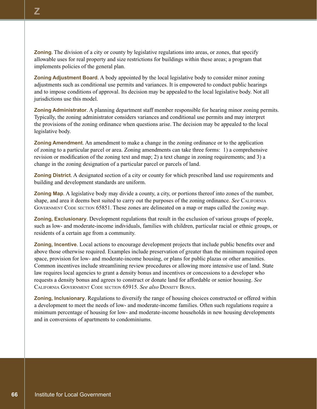**Zoning**. The division of a city or county by legislative regulations into areas, or zones, that specify allowable uses for real property and size restrictions for buildings within these areas; a program that implements policies of the general plan.

**Zoning Adjustment Board**. A body appointed by the local legislative body to consider minor zoning adjustments such as conditional use permits and variances. It is empowered to conduct public hearings and to impose conditions of approval. Its decision may be appealed to the local legislative body. Not all jurisdictions use this model.

**Zoning Administrator**. A planning department staff member responsible for hearing minor zoning permits. Typically, the zoning administrator considers variances and conditional use permits and may interpret the provisions of the zoning ordinance when questions arise. The decision may be appealed to the local legislative body.

**Zoning Amendment**. An amendment to make a change in the zoning ordinance or to the application of zoning to a particular parcel or area. Zoning amendments can take three forms: 1) a comprehensive revision or modification of the zoning text and map; 2) a text change in zoning requirements; and 3) a change in the zoning designation of a particular parcel or parcels of land.

**Zoning District**. A designated section of a city or county for which prescribed land use requirements and building and development standards are uniform.

**Zoning Map.** A legislative body may divide a county, a city, or portions thereof into zones of the number, shape, and area it deems best suited to carry out the purposes of the zoning ordinance. *See* CALIFORNIA GOVERNMENT CODE SECTION 65851. These zones are delineated on a map or maps called the *zoning map*.

**Zoning, Exclusionary**. Development regulations that result in the exclusion of various groups of people, such as low- and moderate-income individuals, families with children, particular racial or ethnic groups, or residents of a certain age from a community.

**Zoning, Incentive**. Local actions to encourage development projects that include public benefits over and above those otherwise required. Examples include preservation of greater than the minimum required open space, provision for low- and moderate-income housing, or plans for public plazas or other amenities. Common incentives include streamlining review procedures or allowing more intensive use of land. State law requires local agencies to grant a density bonus and incentives or concessions to a developer who requests a density bonus and agrees to construct or donate land for affordable or senior housing. *See* California Government Code section 65915. *See also* Density Bonus.

**Zoning, Inclusionary**. Regulations to diversify the range of housing choices constructed or offered within a development to meet the needs of low- and moderate-income families. Often such regulations require a minimum percentage of housing for low- and moderate-income households in new housing developments and in conversions of apartments to condominiums.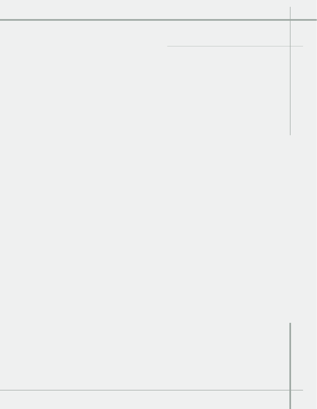Understanding the Basics of Land Use and Planning: Glossary of Land Use and Planning Terms **67**